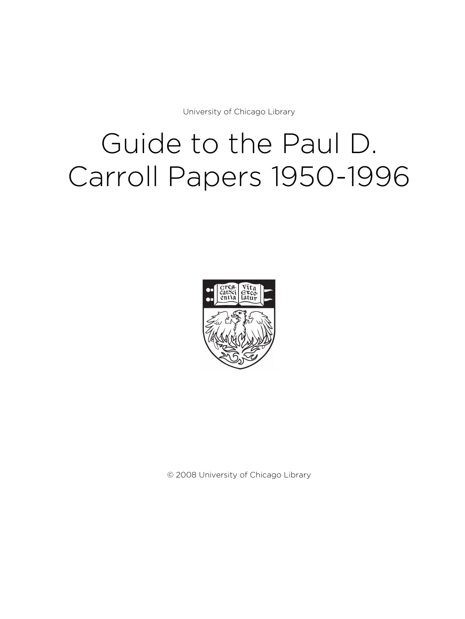University of Chicago Library

# Guide to the Paul D. Carroll Papers 1950-1996



© 2008 University of Chicago Library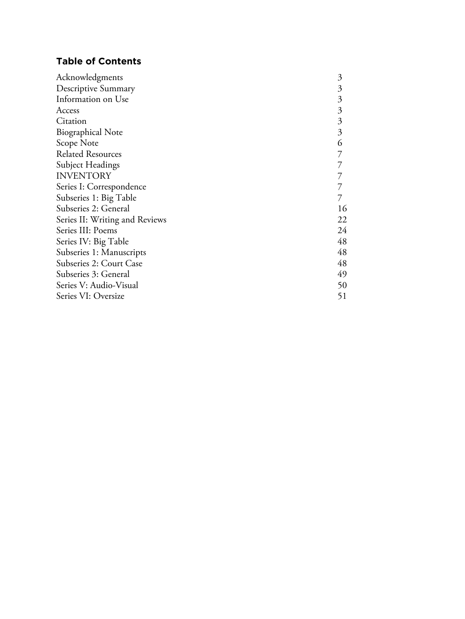# **Table of Contents**

| Acknowledgments                | $\mathfrak{Z}$ |
|--------------------------------|----------------|
| Descriptive Summary            | 3              |
| Information on Use             | 3              |
| Access                         | $\mathfrak{Z}$ |
| Citation                       | $\mathfrak{Z}$ |
| <b>Biographical Note</b>       | 3              |
| Scope Note                     | 6              |
| <b>Related Resources</b>       |                |
| Subject Headings               |                |
| <b>INVENTORY</b>               |                |
| Series I: Correspondence       |                |
| Subseries 1: Big Table         |                |
| Subseries 2: General           | 16             |
| Series II: Writing and Reviews | 22             |
| Series III: Poems              | 24             |
| Series IV: Big Table           | 48             |
| Subseries 1: Manuscripts       | 48             |
| Subseries 2: Court Case        | 48             |
| Subseries 3: General           | 49             |
| Series V: Audio-Visual         | 50             |
| Series VI: Oversize            | 51             |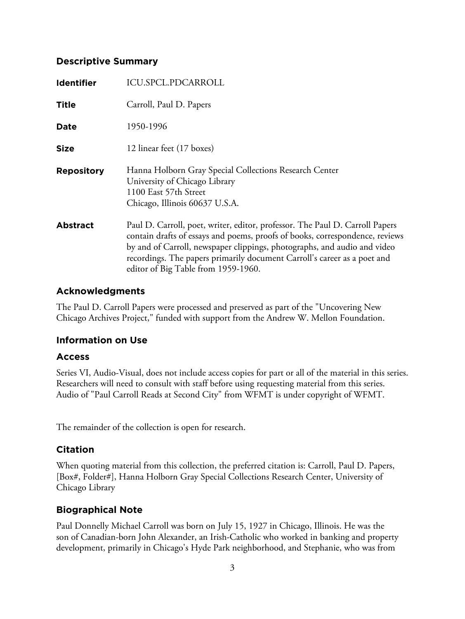# **Descriptive Summary**

| <b>Identifier</b> | ICU.SPCL.PDCARROLL                                                                                                                                                                                                                                                                                                                                          |
|-------------------|-------------------------------------------------------------------------------------------------------------------------------------------------------------------------------------------------------------------------------------------------------------------------------------------------------------------------------------------------------------|
| <b>Title</b>      | Carroll, Paul D. Papers                                                                                                                                                                                                                                                                                                                                     |
| Date              | 1950-1996                                                                                                                                                                                                                                                                                                                                                   |
| <b>Size</b>       | 12 linear feet (17 boxes)                                                                                                                                                                                                                                                                                                                                   |
| <b>Repository</b> | Hanna Holborn Gray Special Collections Research Center<br>University of Chicago Library<br>1100 East 57th Street<br>Chicago, Illinois 60637 U.S.A.                                                                                                                                                                                                          |
| <b>Abstract</b>   | Paul D. Carroll, poet, writer, editor, professor. The Paul D. Carroll Papers<br>contain drafts of essays and poems, proofs of books, correspondence, reviews<br>by and of Carroll, newspaper clippings, photographs, and audio and video<br>recordings. The papers primarily document Carroll's career as a poet and<br>editor of Big Table from 1959-1960. |

## **Acknowledgments**

The Paul D. Carroll Papers were processed and preserved as part of the "Uncovering New Chicago Archives Project," funded with support from the Andrew W. Mellon Foundation.

# **Information on Use**

#### **Access**

Series VI, Audio-Visual, does not include access copies for part or all of the material in this series. Researchers will need to consult with staff before using requesting material from this series. Audio of "Paul Carroll Reads at Second City" from WFMT is under copyright of WFMT.

The remainder of the collection is open for research.

# **Citation**

When quoting material from this collection, the preferred citation is: Carroll, Paul D. Papers, [Box#, Folder#], Hanna Holborn Gray Special Collections Research Center, University of Chicago Library

# **Biographical Note**

Paul Donnelly Michael Carroll was born on July 15, 1927 in Chicago, Illinois. He was the son of Canadian-born John Alexander, an Irish-Catholic who worked in banking and property development, primarily in Chicago's Hyde Park neighborhood, and Stephanie, who was from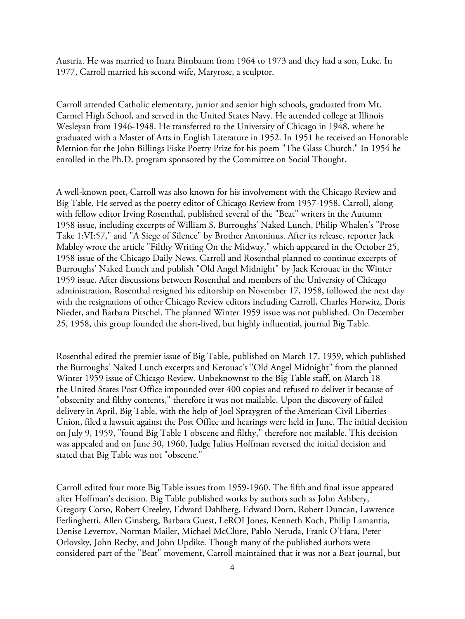Austria. He was married to Inara Birnbaum from 1964 to 1973 and they had a son, Luke. In 1977, Carroll married his second wife, Maryrose, a sculptor.

Carroll attended Catholic elementary, junior and senior high schools, graduated from Mt. Carmel High School, and served in the United States Navy. He attended college at Illinois Wesleyan from 1946-1948. He transferred to the University of Chicago in 1948, where he graduated with a Master of Arts in English Literature in 1952. In 1951 he received an Honorable Metnion for the John Billings Fiske Poetry Prize for his poem "The Glass Church." In 1954 he enrolled in the Ph.D. program sponsored by the Committee on Social Thought.

A well-known poet, Carroll was also known for his involvement with the Chicago Review and Big Table. He served as the poetry editor of Chicago Review from 1957-1958. Carroll, along with fellow editor Irving Rosenthal, published several of the "Beat" writers in the Autumn 1958 issue, including excerpts of William S. Burroughs' Naked Lunch, Philip Whalen's "Prose Take 1:VI:57," and "A Siege of Silence" by Brother Antoninus. After its release, reporter Jack Mabley wrote the article "Filthy Writing On the Midway," which appeared in the October 25, 1958 issue of the Chicago Daily News. Carroll and Rosenthal planned to continue excerpts of Burroughs' Naked Lunch and publish "Old Angel Midnight" by Jack Kerouac in the Winter 1959 issue. After discussions between Rosenthal and members of the University of Chicago administration, Rosenthal resigned his editorship on November 17, 1958, followed the next day with the resignations of other Chicago Review editors including Carroll, Charles Horwitz, Doris Nieder, and Barbara Pitschel. The planned Winter 1959 issue was not published. On December 25, 1958, this group founded the short-lived, but highly influential, journal Big Table.

Rosenthal edited the premier issue of Big Table, published on March 17, 1959, which published the Burroughs' Naked Lunch excerpts and Kerouac's "Old Angel Midnight" from the planned Winter 1959 issue of Chicago Review. Unbeknownst to the Big Table staff, on March 18 the United States Post Office impounded over 400 copies and refused to deliver it because of "obscenity and filthy contents," therefore it was not mailable. Upon the discovery of failed delivery in April, Big Table, with the help of Joel Spraygren of the American Civil Liberties Union, filed a lawsuit against the Post Office and hearings were held in June. The initial decision on July 9, 1959, "found Big Table 1 obscene and filthy," therefore not mailable. This decision was appealed and on June 30, 1960, Judge Julius Hoffman reversed the initial decision and stated that Big Table was not "obscene."

Carroll edited four more Big Table issues from 1959-1960. The fifth and final issue appeared after Hoffman's decision. Big Table published works by authors such as John Ashbery, Gregory Corso, Robert Creeley, Edward Dahlberg, Edward Dorn, Robert Duncan, Lawrence Ferlinghetti, Allen Ginsberg, Barbara Guest, LeROI Jones, Kenneth Koch, Philip Lamantia, Denise Levertov, Norman Mailer, Michael McClure, Pablo Neruda, Frank O'Hara, Peter Orlovsky, John Rechy, and John Updike. Though many of the published authors were considered part of the "Beat" movement, Carroll maintained that it was not a Beat journal, but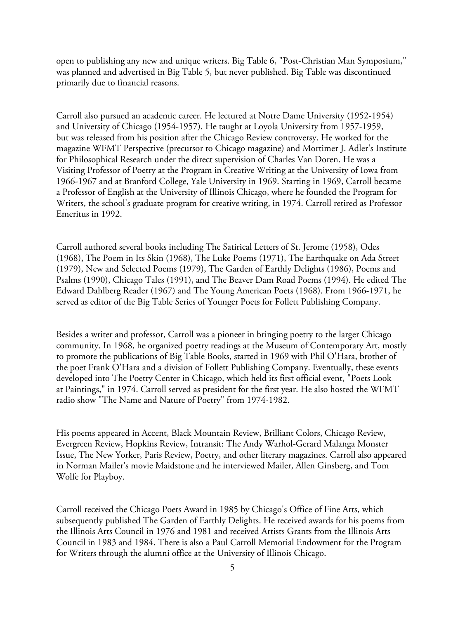open to publishing any new and unique writers. Big Table 6, "Post-Christian Man Symposium," was planned and advertised in Big Table 5, but never published. Big Table was discontinued primarily due to financial reasons.

Carroll also pursued an academic career. He lectured at Notre Dame University (1952-1954) and University of Chicago (1954-1957). He taught at Loyola University from 1957-1959, but was released from his position after the Chicago Review controversy. He worked for the magazine WFMT Perspective (precursor to Chicago magazine) and Mortimer J. Adler's Institute for Philosophical Research under the direct supervision of Charles Van Doren. He was a Visiting Professor of Poetry at the Program in Creative Writing at the University of Iowa from 1966-1967 and at Branford College, Yale University in 1969. Starting in 1969, Carroll became a Professor of English at the University of Illinois Chicago, where he founded the Program for Writers, the school's graduate program for creative writing, in 1974. Carroll retired as Professor Emeritus in 1992.

Carroll authored several books including The Satirical Letters of St. Jerome (1958), Odes (1968), The Poem in Its Skin (1968), The Luke Poems (1971), The Earthquake on Ada Street (1979), New and Selected Poems (1979), The Garden of Earthly Delights (1986), Poems and Psalms (1990), Chicago Tales (1991), and The Beaver Dam Road Poems (1994). He edited The Edward Dahlberg Reader (1967) and The Young American Poets (1968). From 1966-1971, he served as editor of the Big Table Series of Younger Poets for Follett Publishing Company.

Besides a writer and professor, Carroll was a pioneer in bringing poetry to the larger Chicago community. In 1968, he organized poetry readings at the Museum of Contemporary Art, mostly to promote the publications of Big Table Books, started in 1969 with Phil O'Hara, brother of the poet Frank O'Hara and a division of Follett Publishing Company. Eventually, these events developed into The Poetry Center in Chicago, which held its first official event, "Poets Look at Paintings," in 1974. Carroll served as president for the first year. He also hosted the WFMT radio show "The Name and Nature of Poetry" from 1974-1982.

His poems appeared in Accent, Black Mountain Review, Brilliant Colors, Chicago Review, Evergreen Review, Hopkins Review, Intransit: The Andy Warhol-Gerard Malanga Monster Issue, The New Yorker, Paris Review, Poetry, and other literary magazines. Carroll also appeared in Norman Mailer's movie Maidstone and he interviewed Mailer, Allen Ginsberg, and Tom Wolfe for Playboy.

Carroll received the Chicago Poets Award in 1985 by Chicago's Office of Fine Arts, which subsequently published The Garden of Earthly Delights. He received awards for his poems from the Illinois Arts Council in 1976 and 1981 and received Artists Grants from the Illinois Arts Council in 1983 and 1984. There is also a Paul Carroll Memorial Endowment for the Program for Writers through the alumni office at the University of Illinois Chicago.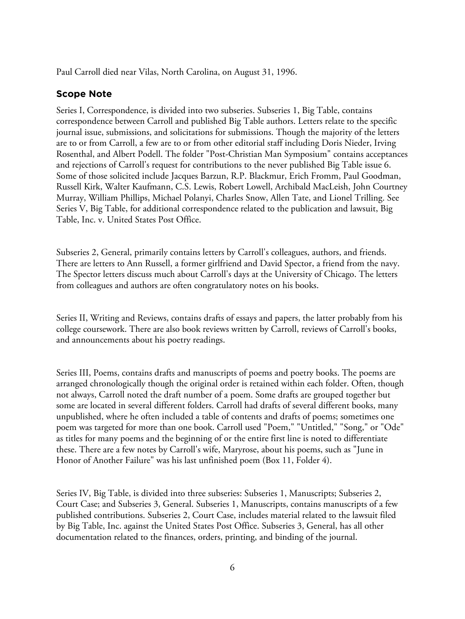Paul Carroll died near Vilas, North Carolina, on August 31, 1996.

#### **Scope Note**

Series I, Correspondence, is divided into two subseries. Subseries 1, Big Table, contains correspondence between Carroll and published Big Table authors. Letters relate to the specific journal issue, submissions, and solicitations for submissions. Though the majority of the letters are to or from Carroll, a few are to or from other editorial staff including Doris Nieder, Irving Rosenthal, and Albert Podell. The folder "Post-Christian Man Symposium" contains acceptances and rejections of Carroll's request for contributions to the never published Big Table issue 6. Some of those solicited include Jacques Barzun, R.P. Blackmur, Erich Fromm, Paul Goodman, Russell Kirk, Walter Kaufmann, C.S. Lewis, Robert Lowell, Archibald MacLeish, John Courtney Murray, William Phillips, Michael Polanyi, Charles Snow, Allen Tate, and Lionel Trilling. See Series V, Big Table, for additional correspondence related to the publication and lawsuit, Big Table, Inc. v. United States Post Office.

Subseries 2, General, primarily contains letters by Carroll's colleagues, authors, and friends. There are letters to Ann Russell, a former girlfriend and David Spector, a friend from the navy. The Spector letters discuss much about Carroll's days at the University of Chicago. The letters from colleagues and authors are often congratulatory notes on his books.

Series II, Writing and Reviews, contains drafts of essays and papers, the latter probably from his college coursework. There are also book reviews written by Carroll, reviews of Carroll's books, and announcements about his poetry readings.

Series III, Poems, contains drafts and manuscripts of poems and poetry books. The poems are arranged chronologically though the original order is retained within each folder. Often, though not always, Carroll noted the draft number of a poem. Some drafts are grouped together but some are located in several different folders. Carroll had drafts of several different books, many unpublished, where he often included a table of contents and drafts of poems; sometimes one poem was targeted for more than one book. Carroll used "Poem," "Untitled," "Song," or "Ode" as titles for many poems and the beginning of or the entire first line is noted to differentiate these. There are a few notes by Carroll's wife, Maryrose, about his poems, such as "June in Honor of Another Failure" was his last unfinished poem (Box 11, Folder 4).

Series IV, Big Table, is divided into three subseries: Subseries 1, Manuscripts; Subseries 2, Court Case; and Subseries 3, General. Subseries 1, Manuscripts, contains manuscripts of a few published contributions. Subseries 2, Court Case, includes material related to the lawsuit filed by Big Table, Inc. against the United States Post Office. Subseries 3, General, has all other documentation related to the finances, orders, printing, and binding of the journal.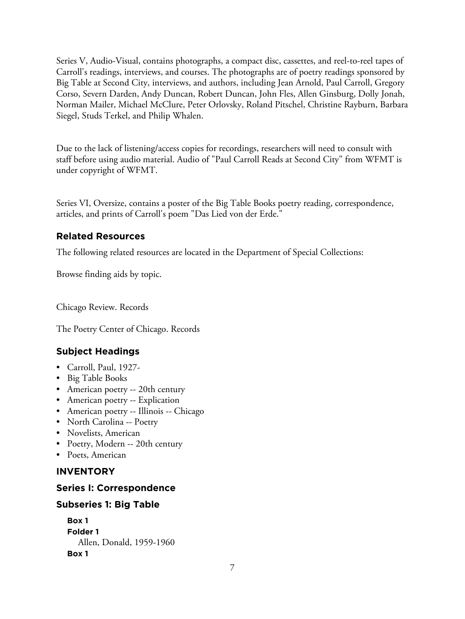Series V, Audio-Visual, contains photographs, a compact disc, cassettes, and reel-to-reel tapes of Carroll's readings, interviews, and courses. The photographs are of poetry readings sponsored by Big Table at Second City, interviews, and authors, including Jean Arnold, Paul Carroll, Gregory Corso, Severn Darden, Andy Duncan, Robert Duncan, John Fles, Allen Ginsburg, Dolly Jonah, Norman Mailer, Michael McClure, Peter Orlovsky, Roland Pitschel, Christine Rayburn, Barbara Siegel, Studs Terkel, and Philip Whalen.

Due to the lack of listening/access copies for recordings, researchers will need to consult with staff before using audio material. Audio of "Paul Carroll Reads at Second City" from WFMT is under copyright of WFMT.

Series VI, Oversize, contains a poster of the Big Table Books poetry reading, correspondence, articles, and prints of Carroll's poem "Das Lied von der Erde."

# **Related Resources**

The following related resources are located in the Department of Special Collections:

Browse finding aids by topic.

Chicago Review. Records

The Poetry Center of Chicago. Records

# **Subject Headings**

- Carroll, Paul, 1927-
- Big Table Books
- American poetry -- 20th century
- American poetry -- Explication
- American poetry -- Illinois -- Chicago
- North Carolina -- Poetry
- Novelists, American
- Poetry, Modern -- 20th century
- Poets, American

# **INVENTORY**

# **Series I: Correspondence**

# **Subseries 1: Big Table**

```
Box 1
Folder 1
  Allen, Donald, 1959-1960
Box 1
```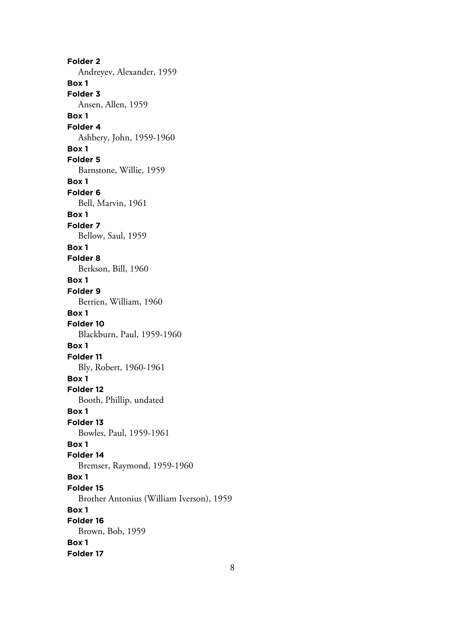**Folder 2** Andreyev, Alexander, 1959 **Box 1 Folder 3** Ansen, Allen, 1959 **Box 1 Folder 4** Ashbery, John, 1959-1960 **Box 1 Folder 5** Barnstone, Willie, 1959 **Box 1 Folder 6** Bell, Marvin, 1961 **Box 1 Folder 7** Bellow, Saul, 1959 **Box 1 Folder 8** Berkson, Bill, 1960 **Box 1 Folder 9** Berrien, William, 1960 **Box 1 Folder 10** Blackburn, Paul, 1959-1960 **Box 1 Folder 11** Bly, Robert, 1960-1961 **Box 1 Folder 12** Booth, Phillip, undated **Box 1 Folder 13** Bowles, Paul, 1959-1961 **Box 1 Folder 14** Bremser, Raymond, 1959-1960 **Box 1 Folder 15** Brother Antonius (William Iverson), 1959 **Box 1 Folder 16** Brown, Bob, 1959 **Box 1 Folder 17**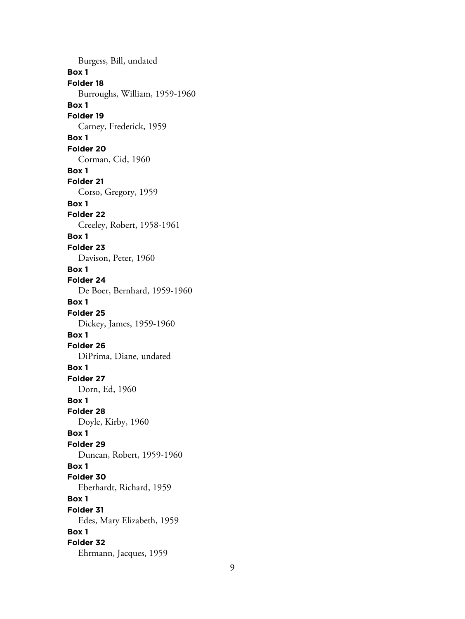Burgess, Bill, undated **Box 1 Folder 18** Burroughs, William, 1959-1960 **Box 1 Folder 19** Carney, Frederick, 1959 **Box 1 Folder 20** Corman, Cid, 1960 **Box 1 Folder 21** Corso, Gregory, 1959 **Box 1 Folder 22** Creeley, Robert, 1958-1961 **Box 1 Folder 23** Davison, Peter, 1960 **Box 1 Folder 24** De Boer, Bernhard, 1959-1960 **Box 1 Folder 25** Dickey, James, 1959-1960 **Box 1 Folder 26** DiPrima, Diane, undated **Box 1 Folder 27** Dorn, Ed, 1960 **Box 1 Folder 28** Doyle, Kirby, 1960 **Box 1 Folder 29** Duncan, Robert, 1959-1960 **Box 1 Folder 30** Eberhardt, Richard, 1959 **Box 1 Folder 31** Edes, Mary Elizabeth, 1959 **Box 1 Folder 32** Ehrmann, Jacques, 1959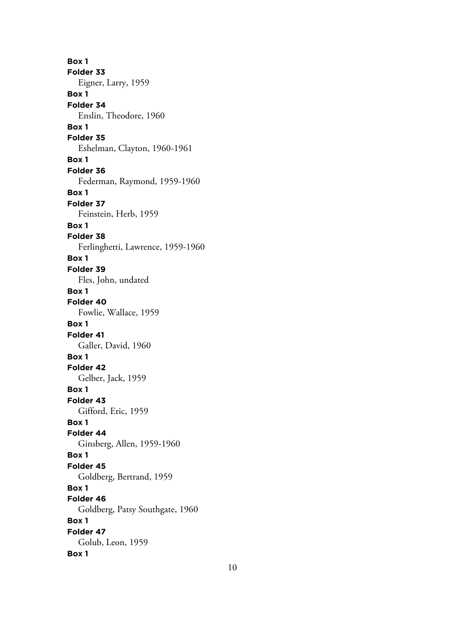**Box 1 Folder 33** Eigner, Larry, 1959 **Box 1 Folder 34** Enslin, Theodore, 1960 **Box 1 Folder 35** Eshelman, Clayton, 1960-1961 **Box 1 Folder 36** Federman, Raymond, 1959-1960 **Box 1 Folder 37** Feinstein, Herb, 1959 **Box 1 Folder 38** Ferlinghetti, Lawrence, 1959-1960 **Box 1 Folder 39** Fles, John, undated **Box 1 Folder 40** Fowlie, Wallace, 1959 **Box 1 Folder 41** Galler, David, 1960 **Box 1 Folder 42** Gelber, Jack, 1959 **Box 1 Folder 43** Gifford, Eric, 1959 **Box 1 Folder 44** Ginsberg, Allen, 1959-1960 **Box 1 Folder 45** Goldberg, Bertrand, 1959 **Box 1 Folder 46** Goldberg, Patsy Southgate, 1960 **Box 1 Folder 47** Golub, Leon, 1959 **Box 1**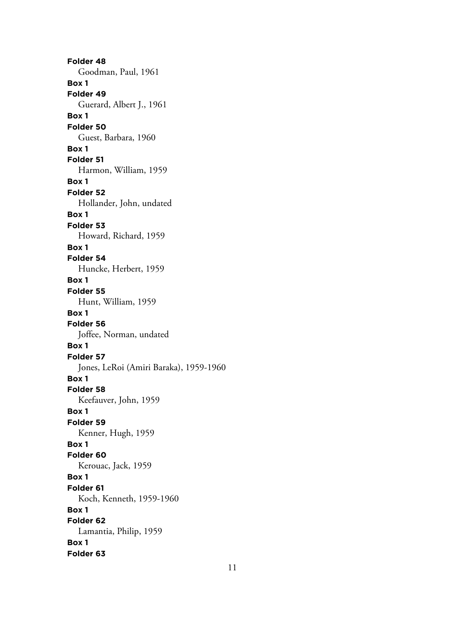**Folder 48** Goodman, Paul, 1961 **Box 1 Folder 49** Guerard, Albert J., 1961 **Box 1 Folder 50** Guest, Barbara, 1960 **Box 1 Folder 51** Harmon, William, 1959 **Box 1 Folder 52** Hollander, John, undated **Box 1 Folder 53** Howard, Richard, 1959 **Box 1 Folder 54** Huncke, Herbert, 1959 **Box 1 Folder 55** Hunt, William, 1959 **Box 1 Folder 56** Joffee, Norman, undated **Box 1 Folder 57** Jones, LeRoi (Amiri Baraka), 1959-1960 **Box 1 Folder 58** Keefauver, John, 1959 **Box 1 Folder 59** Kenner, Hugh, 1959 **Box 1 Folder 60** Kerouac, Jack, 1959 **Box 1 Folder 61** Koch, Kenneth, 1959-1960 **Box 1 Folder 62** Lamantia, Philip, 1959 **Box 1 Folder 63**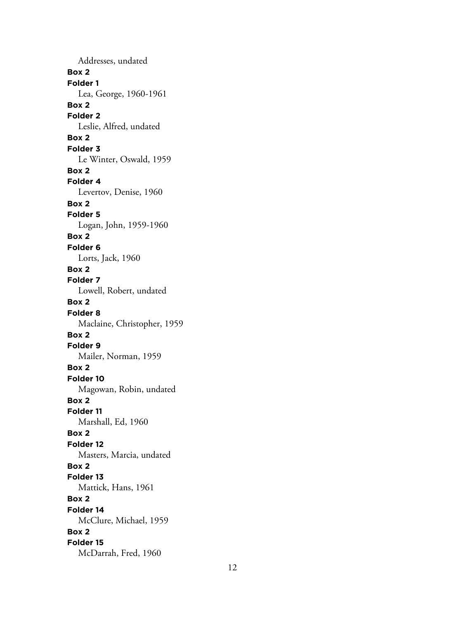Addresses, undated **Box 2 Folder 1** Lea, George, 1960-1961 **Box 2 Folder 2** Leslie, Alfred, undated **Box 2 Folder 3** Le Winter, Oswald, 1959 **Box 2 Folder 4** Levertov, Denise, 1960 **Box 2 Folder 5** Logan, John, 1959-1960 **Box 2 Folder 6** Lorts, Jack, 1960 **Box 2 Folder 7** Lowell, Robert, undated **Box 2 Folder 8** Maclaine, Christopher, 1959 **Box 2 Folder 9** Mailer, Norman, 1959 **Box 2 Folder 10** Magowan, Robin, undated **Box 2 Folder 11** Marshall, Ed, 1960 **Box 2 Folder 12** Masters, Marcia, undated **Box 2 Folder 13** Mattick, Hans, 1961 **Box 2 Folder 14** McClure, Michael, 1959 **Box 2 Folder 15** McDarrah, Fred, 1960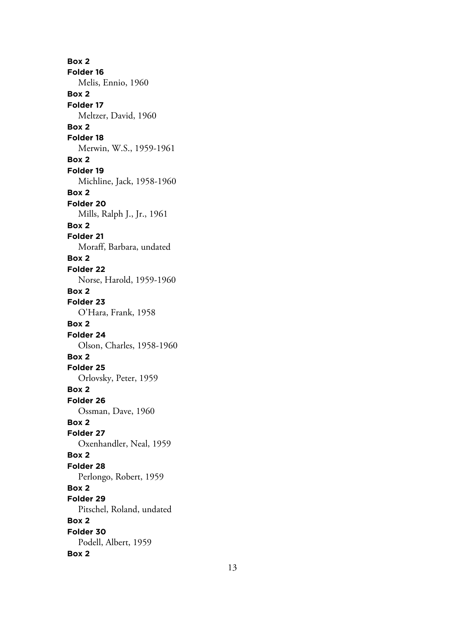**Box 2 Folder 16** Melis, Ennio, 1960 **Box 2 Folder 17** Meltzer, David, 1960 **Box 2 Folder 18** Merwin, W.S., 1959-1961 **Box 2 Folder 19** Michline, Jack, 1958-1960 **Box 2 Folder 20** Mills, Ralph J., Jr., 1961 **Box 2 Folder 21** Moraff, Barbara, undated **Box 2 Folder 22** Norse, Harold, 1959-1960 **Box 2 Folder 23** O'Hara, Frank, 1958 **Box 2 Folder 24** Olson, Charles, 1958-1960 **Box 2 Folder 25** Orlovsky, Peter, 1959 **Box 2 Folder 26** Ossman, Dave, 1960 **Box 2 Folder 27** Oxenhandler, Neal, 1959 **Box 2 Folder 28** Perlongo, Robert, 1959 **Box 2 Folder 29** Pitschel, Roland, undated **Box 2 Folder 30** Podell, Albert, 1959 **Box 2**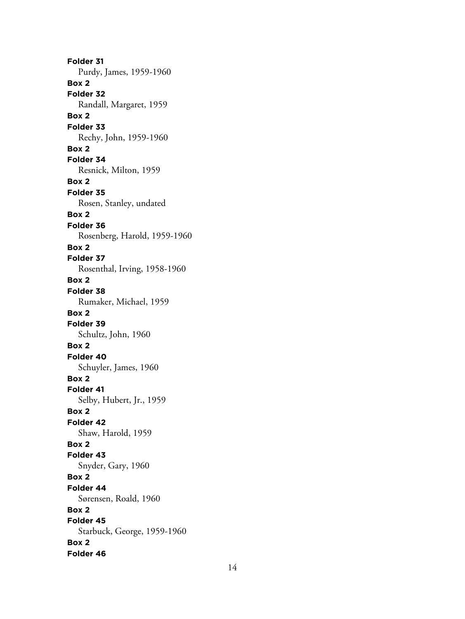**Folder 31** Purdy, James, 1959-1960 **Box 2 Folder 32** Randall, Margaret, 1959 **Box 2 Folder 33** Rechy, John, 1959-1960 **Box 2 Folder 34** Resnick, Milton, 1959 **Box 2 Folder 35** Rosen, Stanley, undated **Box 2 Folder 36** Rosenberg, Harold, 1959-1960 **Box 2 Folder 37** Rosenthal, Irving, 1958-1960 **Box 2 Folder 38** Rumaker, Michael, 1959 **Box 2 Folder 39** Schultz, John, 1960 **Box 2 Folder 40** Schuyler, James, 1960 **Box 2 Folder 41** Selby, Hubert, Jr., 1959 **Box 2 Folder 42** Shaw, Harold, 1959 **Box 2 Folder 43** Snyder, Gary, 1960 **Box 2 Folder 44** Sørensen, Roald, 1960 **Box 2 Folder 45** Starbuck, George, 1959-1960 **Box 2 Folder 46**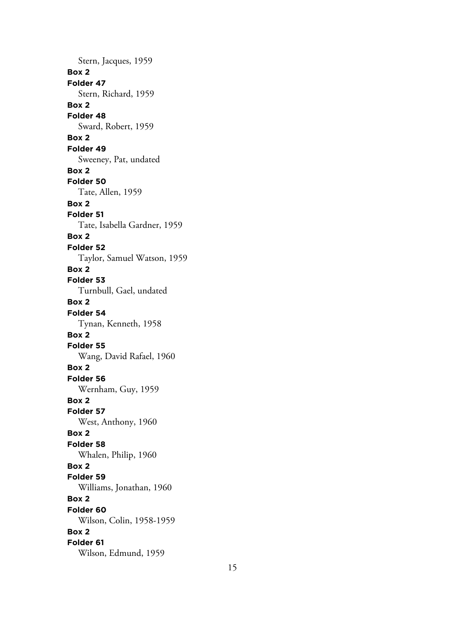Stern, Jacques, 1959 **Box 2 Folder 47** Stern, Richard, 1959 **Box 2 Folder 48** Sward, Robert, 1959 **Box 2 Folder 49** Sweeney, Pat, undated **Box 2 Folder 50** Tate, Allen, 1959 **Box 2 Folder 51** Tate, Isabella Gardner, 1959 **Box 2 Folder 52** Taylor, Samuel Watson, 1959 **Box 2 Folder 53** Turnbull, Gael, undated **Box 2 Folder 54** Tynan, Kenneth, 1958 **Box 2 Folder 55** Wang, David Rafael, 1960 **Box 2 Folder 56** Wernham, Guy, 1959 **Box 2 Folder 57** West, Anthony, 1960 **Box 2 Folder 58** Whalen, Philip, 1960 **Box 2 Folder 59** Williams, Jonathan, 1960 **Box 2 Folder 60** Wilson, Colin, 1958-1959 **Box 2 Folder 61** Wilson, Edmund, 1959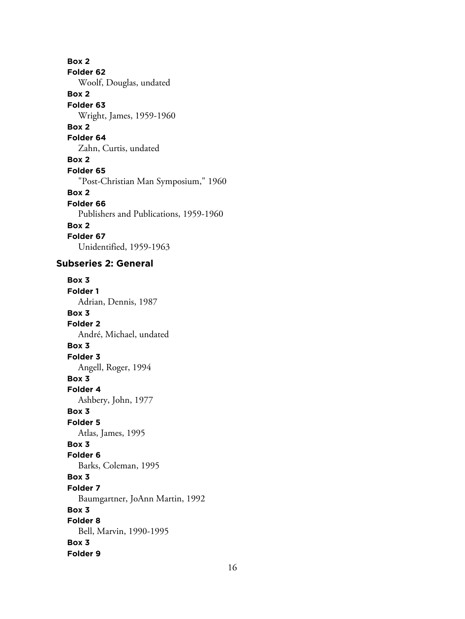**Box 2 Folder 62** Woolf, Douglas, undated **Box 2 Folder 63** Wright, James, 1959-1960 **Box 2 Folder 64** Zahn, Curtis, undated **Box 2 Folder 65** "Post-Christian Man Symposium," 1960 **Box 2 Folder 66** Publishers and Publications, 1959-1960 **Box 2 Folder 67** Unidentified, 1959-1963

# **Subseries 2: General**

**Box 3 Folder 1** Adrian, Dennis, 1987 **Box 3 Folder 2** André, Michael, undated **Box 3 Folder 3** Angell, Roger, 1994 **Box 3 Folder 4** Ashbery, John, 1977 **Box 3 Folder 5** Atlas, James, 1995 **Box 3 Folder 6** Barks, Coleman, 1995 **Box 3 Folder 7** Baumgartner, JoAnn Martin, 1992 **Box 3 Folder 8** Bell, Marvin, 1990-1995 **Box 3 Folder 9**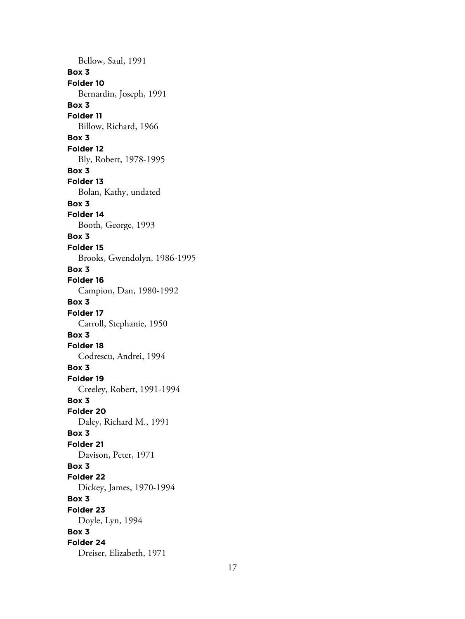Bellow, Saul, 1991 **Box 3 Folder 10** Bernardin, Joseph, 1991 **Box 3 Folder 11** Billow, Richard, 1966 **Box 3 Folder 12** Bly, Robert, 1978-1995 **Box 3 Folder 13** Bolan, Kathy, undated **Box 3 Folder 14** Booth, George, 1993 **Box 3 Folder 15** Brooks, Gwendolyn, 1986-1995 **Box 3 Folder 16** Campion, Dan, 1980-1992 **Box 3 Folder 17** Carroll, Stephanie, 1950 **Box 3 Folder 18** Codrescu, Andrei, 1994 **Box 3 Folder 19** Creeley, Robert, 1991-1994 **Box 3 Folder 20** Daley, Richard M., 1991 **Box 3 Folder 21** Davison, Peter, 1971 **Box 3 Folder 22** Dickey, James, 1970-1994 **Box 3 Folder 23** Doyle, Lyn, 1994 **Box 3 Folder 24** Dreiser, Elizabeth, 1971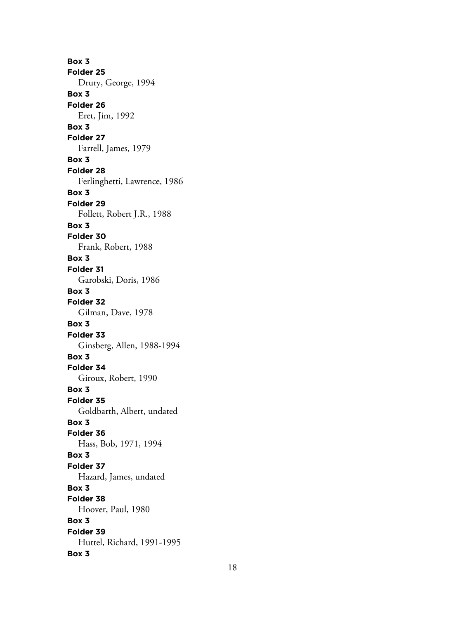**Box 3 Folder 25** Drury, George, 1994 **Box 3 Folder 26** Eret, Jim, 1992 **Box 3 Folder 27** Farrell, James, 1979 **Box 3 Folder 28** Ferlinghetti, Lawrence, 1986 **Box 3 Folder 29** Follett, Robert J.R., 1988 **Box 3 Folder 30** Frank, Robert, 1988 **Box 3 Folder 31** Garobski, Doris, 1986 **Box 3 Folder 32** Gilman, Dave, 1978 **Box 3 Folder 33** Ginsberg, Allen, 1988-1994 **Box 3 Folder 34** Giroux, Robert, 1990 **Box 3 Folder 35** Goldbarth, Albert, undated **Box 3 Folder 36** Hass, Bob, 1971, 1994 **Box 3 Folder 37** Hazard, James, undated **Box 3 Folder 38** Hoover, Paul, 1980 **Box 3 Folder 39** Huttel, Richard, 1991-1995 **Box 3**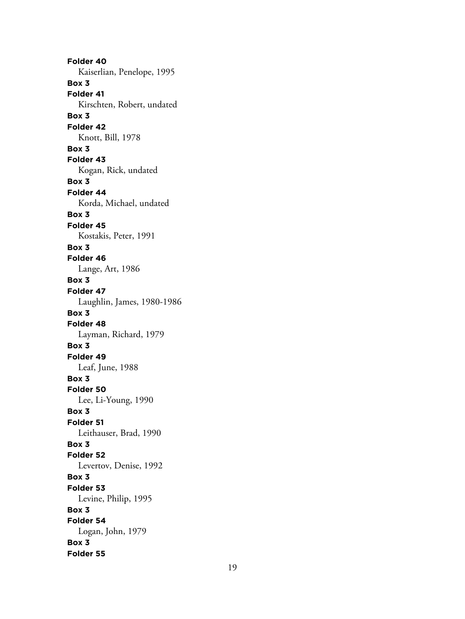**Folder 40** Kaiserlian, Penelope, 1995 **Box 3 Folder 41** Kirschten, Robert, undated **Box 3 Folder 42** Knott, Bill, 1978 **Box 3 Folder 43** Kogan, Rick, undated **Box 3 Folder 44** Korda, Michael, undated **Box 3 Folder 45** Kostakis, Peter, 1991 **Box 3 Folder 46** Lange, Art, 1986 **Box 3 Folder 47** Laughlin, James, 1980-1986 **Box 3 Folder 48** Layman, Richard, 1979 **Box 3 Folder 49** Leaf, June, 1988 **Box 3 Folder 50** Lee, Li-Young, 1990 **Box 3 Folder 51** Leithauser, Brad, 1990 **Box 3 Folder 52** Levertov, Denise, 1992 **Box 3 Folder 53** Levine, Philip, 1995 **Box 3 Folder 54** Logan, John, 1979 **Box 3 Folder 55**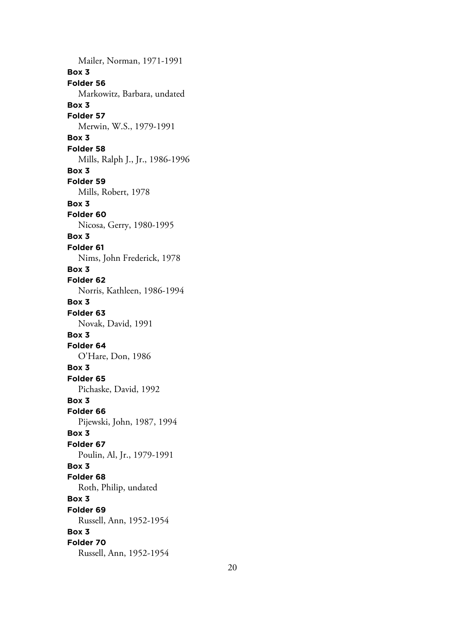Mailer, Norman, 1971-1991 **Box 3 Folder 56** Markowitz, Barbara, undated **Box 3 Folder 57** Merwin, W.S., 1979-1991 **Box 3 Folder 58** Mills, Ralph J., Jr., 1986-1996 **Box 3 Folder 59** Mills, Robert, 1978 **Box 3 Folder 60** Nicosa, Gerry, 1980-1995 **Box 3 Folder 61** Nims, John Frederick, 1978 **Box 3 Folder 62** Norris, Kathleen, 1986-1994 **Box 3 Folder 63** Novak, David, 1991 **Box 3 Folder 64** O'Hare, Don, 1986 **Box 3 Folder 65** Pichaske, David, 1992 **Box 3 Folder 66** Pijewski, John, 1987, 1994 **Box 3 Folder 67** Poulin, Al, Jr., 1979-1991 **Box 3 Folder 68** Roth, Philip, undated **Box 3 Folder 69** Russell, Ann, 1952-1954 **Box 3 Folder 70** Russell, Ann, 1952-1954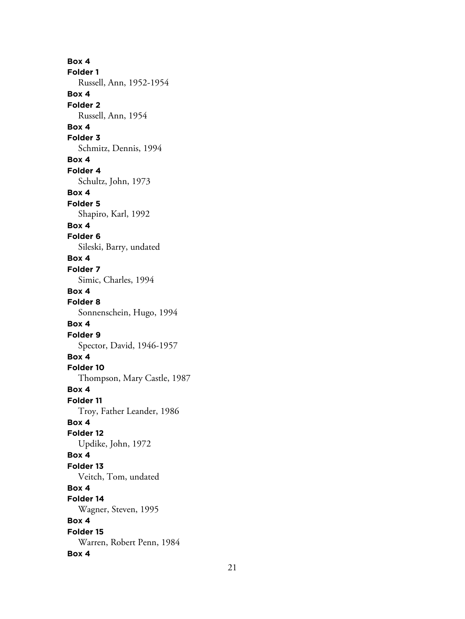**Box 4 Folder 1** Russell, Ann, 1952-1954 **Box 4 Folder 2** Russell, Ann, 1954 **Box 4 Folder 3** Schmitz, Dennis, 1994 **Box 4 Folder 4** Schultz, John, 1973 **Box 4 Folder 5** Shapiro, Karl, 1992 **Box 4 Folder 6** Sileski, Barry, undated **Box 4 Folder 7** Simic, Charles, 1994 **Box 4 Folder 8** Sonnenschein, Hugo, 1994 **Box 4 Folder 9** Spector, David, 1946-1957 **Box 4 Folder 10** Thompson, Mary Castle, 1987 **Box 4 Folder 11** Troy, Father Leander, 1986 **Box 4 Folder 12** Updike, John, 1972 **Box 4 Folder 13** Veitch, Tom, undated **Box 4 Folder 14** Wagner, Steven, 1995 **Box 4 Folder 15** Warren, Robert Penn, 1984 **Box 4**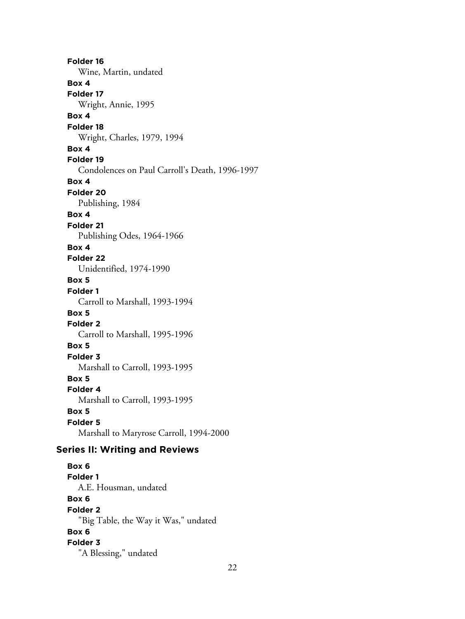**Folder 16** Wine, Martin, undated **Box 4 Folder 17** Wright, Annie, 1995 **Box 4 Folder 18** Wright, Charles, 1979, 1994 **Box 4 Folder 19** Condolences on Paul Carroll's Death, 1996-1997 **Box 4 Folder 20** Publishing, 1984 **Box 4 Folder 21** Publishing Odes, 1964-1966 **Box 4 Folder 22** Unidentified, 1974-1990 **Box 5 Folder 1** Carroll to Marshall, 1993-1994 **Box 5 Folder 2** Carroll to Marshall, 1995-1996 **Box 5 Folder 3** Marshall to Carroll, 1993-1995 **Box 5 Folder 4** Marshall to Carroll, 1993-1995 **Box 5 Folder 5** Marshall to Maryrose Carroll, 1994-2000 **Series II: Writing and Reviews Box 6 Folder 1** A.E. Housman, undated **Box 6 Folder 2** "Big Table, the Way it Was," undated **Box 6 Folder 3** "A Blessing," undated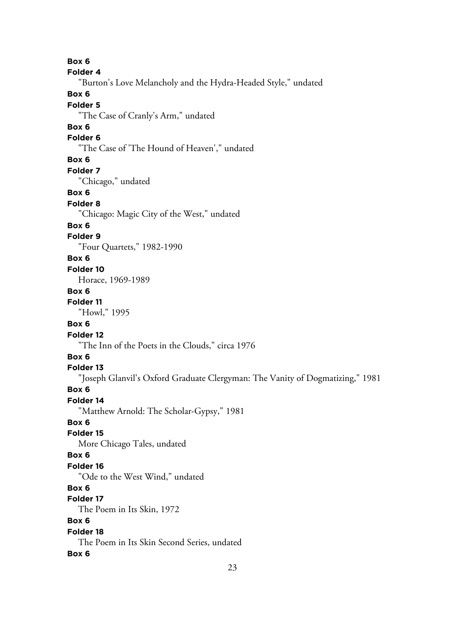**Box 6 Folder 4** "Burton's Love Melancholy and the Hydra-Headed Style," undated **Box 6 Folder 5** "The Case of Cranly's Arm," undated **Box 6 Folder 6** "The Case of 'The Hound of Heaven'," undated **Box 6 Folder 7** "Chicago," undated **Box 6 Folder 8** "Chicago: Magic City of the West," undated **Box 6 Folder 9** "Four Quartets," 1982-1990 **Box 6 Folder 10** Horace, 1969-1989 **Box 6 Folder 11** "Howl," 1995 **Box 6 Folder 12** "The Inn of the Poets in the Clouds," circa 1976 **Box 6 Folder 13** "Joseph Glanvil's Oxford Graduate Clergyman: The Vanity of Dogmatizing," 1981 **Box 6 Folder 14** "Matthew Arnold: The Scholar-Gypsy," 1981 **Box 6 Folder 15** More Chicago Tales, undated **Box 6 Folder 16** "Ode to the West Wind," undated **Box 6 Folder 17** The Poem in Its Skin, 1972 **Box 6 Folder 18** The Poem in Its Skin Second Series, undated **Box 6**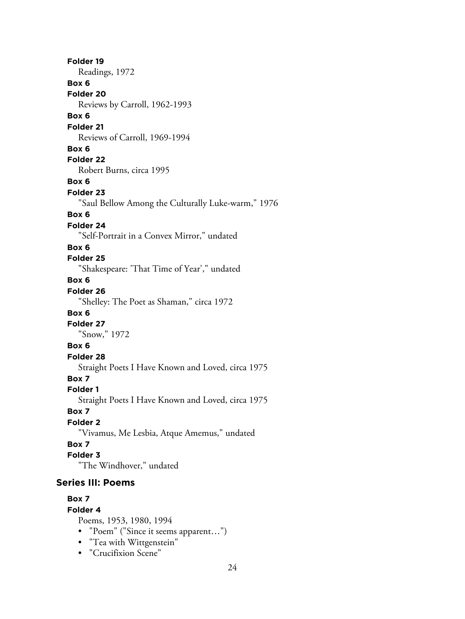**Folder 19** Readings, 1972 **Box 6 Folder 20** Reviews by Carroll, 1962-1993 **Box 6 Folder 21** Reviews of Carroll, 1969-1994 **Box 6 Folder 22** Robert Burns, circa 1995 **Box 6 Folder 23** "Saul Bellow Among the Culturally Luke-warm," 1976 **Box 6 Folder 24** "Self-Portrait in a Convex Mirror," undated **Box 6 Folder 25** "Shakespeare: 'That Time of Year'," undated **Box 6 Folder 26** "Shelley: The Poet as Shaman," circa 1972 **Box 6 Folder 27** "Snow," 1972 **Box 6 Folder 28** Straight Poets I Have Known and Loved, circa 1975 **Box 7 Folder 1** Straight Poets I Have Known and Loved, circa 1975 **Box 7 Folder 2** "Vivamus, Me Lesbia, Atque Amemus," undated **Box 7 Folder 3** "The Windhover," undated **Series III: Poems**

#### **Box 7**

#### **Folder 4**

Poems, 1953, 1980, 1994

- "Poem" ("Since it seems apparent…")
- "Tea with Wittgenstein"
- "Crucifixion Scene"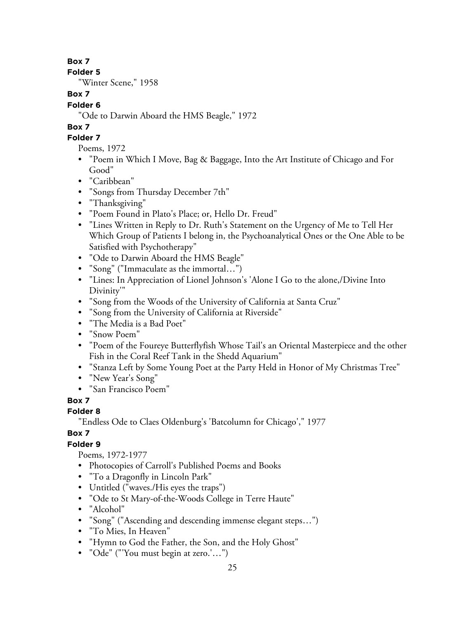**Folder 5**

"Winter Scene," 1958

# **Box 7**

# **Folder 6**

"Ode to Darwin Aboard the HMS Beagle," 1972

# **Box 7**

# **Folder 7**

Poems, 1972

- "Poem in Which I Move, Bag & Baggage, Into the Art Institute of Chicago and For Good"
- "Caribbean"
- "Songs from Thursday December 7th"
- "Thanksgiving"
- "Poem Found in Plato's Place; or, Hello Dr. Freud"
- "Lines Written in Reply to Dr. Ruth's Statement on the Urgency of Me to Tell Her Which Group of Patients I belong in, the Psychoanalytical Ones or the One Able to be Satisfied with Psychotherapy"
- "Ode to Darwin Aboard the HMS Beagle"
- "Song" ("Immaculate as the immortal…")
- "Lines: In Appreciation of Lionel Johnson's 'Alone I Go to the alone,/Divine Into Divinity'"
- "Song from the Woods of the University of California at Santa Cruz"
- "Song from the University of California at Riverside"
- "The Media is a Bad Poet"
- "Snow Poem"
- "Poem of the Foureye Butterflyfish Whose Tail's an Oriental Masterpiece and the other Fish in the Coral Reef Tank in the Shedd Aquarium"
- "Stanza Left by Some Young Poet at the Party Held in Honor of My Christmas Tree"
- "New Year's Song"
- "San Francisco Poem"

# **Box 7**

# **Folder 8**

"Endless Ode to Claes Oldenburg's 'Batcolumn for Chicago'," 1977

# **Box 7**

# **Folder 9**

Poems, 1972-1977

- Photocopies of Carroll's Published Poems and Books
- "To a Dragonfly in Lincoln Park"
- Untitled ("waves./His eyes the traps")
- "Ode to St Mary-of-the-Woods College in Terre Haute"
- "Alcohol"
- "Song" ("Ascending and descending immense elegant steps…")
- "To Mies, In Heaven"
- "Hymn to God the Father, the Son, and the Holy Ghost"
- "Ode" ("'You must begin at zero.'…")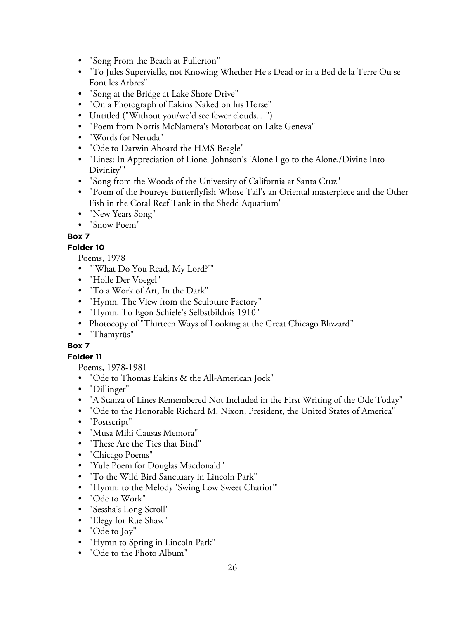- "Song From the Beach at Fullerton"
- "To Jules Supervielle, not Knowing Whether He's Dead or in a Bed de la Terre Ou se Font les Arbres"
- "Song at the Bridge at Lake Shore Drive"
- "On a Photograph of Eakins Naked on his Horse"
- Untitled ("Without you/we'd see fewer clouds…")
- "Poem from Norris McNamera's Motorboat on Lake Geneva"
- "Words for Neruda"
- "Ode to Darwin Aboard the HMS Beagle"
- "Lines: In Appreciation of Lionel Johnson's 'Alone I go to the Alone,/Divine Into Divinity'"
- "Song from the Woods of the University of California at Santa Cruz"
- "Poem of the Foureye Butterflyfish Whose Tail's an Oriental masterpiece and the Other Fish in the Coral Reef Tank in the Shedd Aquarium"
- "New Years Song"
- "Snow Poem"

# **Folder 10**

Poems, 1978

- "'What Do You Read, My Lord?'"
- "Holle Der Voegel"
- "To a Work of Art, In the Dark"
- "Hymn. The View from the Sculpture Factory"
- "Hymn. To Egon Schiele's Selbstbildnis 1910"
- Photocopy of "Thirteen Ways of Looking at the Great Chicago Blizzard"
- "Thamyrūs"

# **Box 7**

# **Folder 11**

Poems, 1978-1981

- "Ode to Thomas Eakins & the All-American Jock"
- "Dillinger"
- "A Stanza of Lines Remembered Not Included in the First Writing of the Ode Today"
- "Ode to the Honorable Richard M. Nixon, President, the United States of America"
- "Postscript"
- "Musa Mihi Causas Memora"
- "These Are the Ties that Bind"
- "Chicago Poems"
- "Yule Poem for Douglas Macdonald"
- "To the Wild Bird Sanctuary in Lincoln Park"
- "Hymn: to the Melody 'Swing Low Sweet Chariot'"
- "Ode to Work"
- "Sessha's Long Scroll"
- "Elegy for Rue Shaw"
- "Ode to Joy"
- "Hymn to Spring in Lincoln Park"
- "Ode to the Photo Album"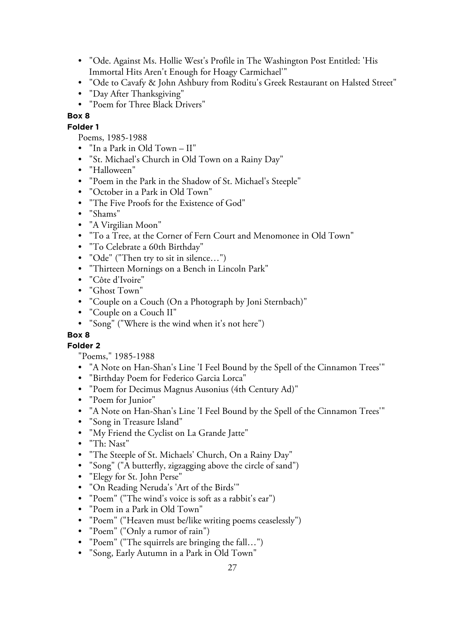- "Ode. Against Ms. Hollie West's Profile in The Washington Post Entitled: 'His Immortal Hits Aren't Enough for Hoagy Carmichael'"
- "Ode to Cavafy & John Ashbury from Roditu's Greek Restaurant on Halsted Street"
- "Day After Thanksgiving"
- "Poem for Three Black Drivers"

## **Folder 1**

- Poems, 1985-1988
- "In a Park in Old Town II"
- "St. Michael's Church in Old Town on a Rainy Day"
- "Halloween"
- "Poem in the Park in the Shadow of St. Michael's Steeple"
- "October in a Park in Old Town"
- "The Five Proofs for the Existence of God"
- "Shams"
- "A Virgilian Moon"
- "To a Tree, at the Corner of Fern Court and Menomonee in Old Town"
- "To Celebrate a 60th Birthday"
- "Ode" ("Then try to sit in silence…")
- "Thirteen Mornings on a Bench in Lincoln Park"
- "Côte d'Ivoire"
- "Ghost Town"
- "Couple on a Couch (On a Photograph by Joni Sternbach)"
- "Couple on a Couch II"
- "Song" ("Where is the wind when it's not here")

# **Box 8**

# **Folder 2**

"Poems," 1985-1988

- "A Note on Han-Shan's Line 'I Feel Bound by the Spell of the Cinnamon Trees'"
- "Birthday Poem for Federico Garcia Lorca"
- "Poem for Decimus Magnus Ausonius (4th Century Ad)"
- "Poem for Junior"
- "A Note on Han-Shan's Line 'I Feel Bound by the Spell of the Cinnamon Trees'"
- "Song in Treasure Island"
- "My Friend the Cyclist on La Grande Jatte"
- "Th: Nast"
- "The Steeple of St. Michaels' Church, On a Rainy Day"
- "Song" ("A butterfly, zigzagging above the circle of sand")
- "Elegy for St. John Perse"
- "On Reading Neruda's 'Art of the Birds'"
- "Poem" ("The wind's voice is soft as a rabbit's ear")
- "Poem in a Park in Old Town"
- "Poem" ("Heaven must be/like writing poems ceaselessly")
- "Poem" ("Only a rumor of rain")
- "Poem" ("The squirrels are bringing the fall…")
- "Song, Early Autumn in a Park in Old Town"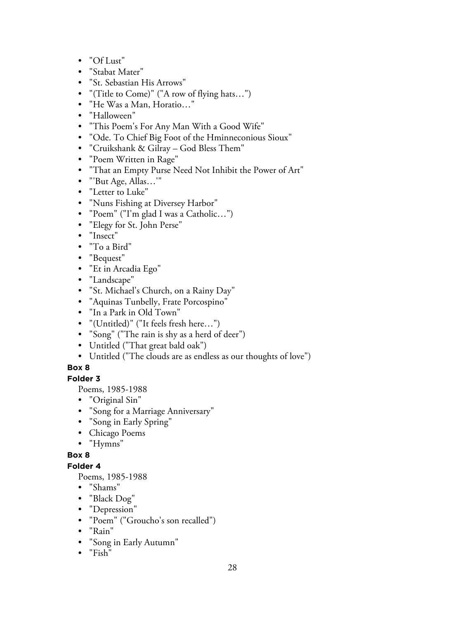- "Of Lust"
- "Stabat Mater"
- "St. Sebastian His Arrows"
- "(Title to Come)" ("A row of flying hats…")
- "He Was a Man, Horatio…"
- "Halloween"
- "This Poem's For Any Man With a Good Wife"
- "Ode. To Chief Big Foot of the Hminneconious Sioux"
- "Cruikshank & Gilray God Bless Them"
- "Poem Written in Rage"
- "That an Empty Purse Need Not Inhibit the Power of Art"
- "'But Age, Allas…'"
- "Letter to Luke"
- "Nuns Fishing at Diversey Harbor"
- "Poem" ("I'm glad I was a Catholic…")
- "Elegy for St. John Perse"
- "Insect"
- "To a Bird"
- "Bequest"
- "Et in Arcadia Ego"
- "Landscape"
- "St. Michael's Church, on a Rainy Day"
- "Aquinas Tunbelly, Frate Porcospino"
- "In a Park in Old Town"
- "(Untitled)" ("It feels fresh here…")
- "Song" ("The rain is shy as a herd of deer")
- Untitled ("That great bald oak")
- Untitled ("The clouds are as endless as our thoughts of love")

# **Folder 3**

Poems, 1985-1988

- "Original Sin"
- "Song for a Marriage Anniversary"
- "Song in Early Spring"
- Chicago Poems
- "Hymns"

# **Box 8**

# **Folder 4**

Poems, 1985-1988

- "Shams"
- "Black Dog"
- "Depression"
- "Poem" ("Groucho's son recalled")
- "Rain"
- "Song in Early Autumn"
- "Fish"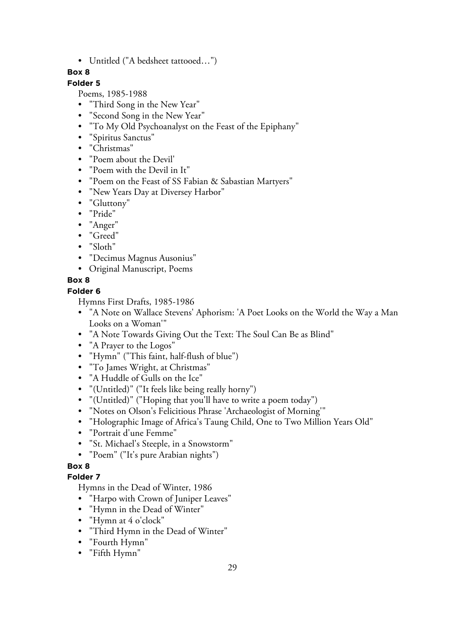• Untitled ("A bedsheet tattooed…")

# **Box 8**

# **Folder 5**

Poems, 1985-1988

- "Third Song in the New Year"
- "Second Song in the New Year"
- "To My Old Psychoanalyst on the Feast of the Epiphany"
- "Spiritus Sanctus"
- "Christmas"
- "Poem about the Devil'
- "Poem with the Devil in It"
- "Poem on the Feast of SS Fabian & Sabastian Martyers"
- "New Years Day at Diversey Harbor"
- "Gluttony"
- "Pride"
- "Anger"
- "Greed"
- "Sloth"
- "Decimus Magnus Ausonius"
- Original Manuscript, Poems

# **Box 8**

# **Folder 6**

Hymns First Drafts, 1985-1986

- "A Note on Wallace Stevens' Aphorism: 'A Poet Looks on the World the Way a Man Looks on a Woman'"
- "A Note Towards Giving Out the Text: The Soul Can Be as Blind"
- "A Prayer to the Logos"
- "Hymn" ("This faint, half-flush of blue")
- "To James Wright, at Christmas"
- "A Huddle of Gulls on the Ice"
- "(Untitled)" ("It feels like being really horny")
- "(Untitled)" ("Hoping that you'll have to write a poem today")
- "Notes on Olson's Felicitious Phrase 'Archaeologist of Morning'"
- "Holographic Image of Africa's Taung Child, One to Two Million Years Old"
- "Portrait d'une Femme"
- "St. Michael's Steeple, in a Snowstorm"
- "Poem" ("It's pure Arabian nights")

# **Box 8**

# **Folder 7**

Hymns in the Dead of Winter, 1986

- "Harpo with Crown of Juniper Leaves"
- "Hymn in the Dead of Winter"
- "Hymn at 4 o'clock"
- "Third Hymn in the Dead of Winter"
- "Fourth Hymn"
- "Fifth Hymn"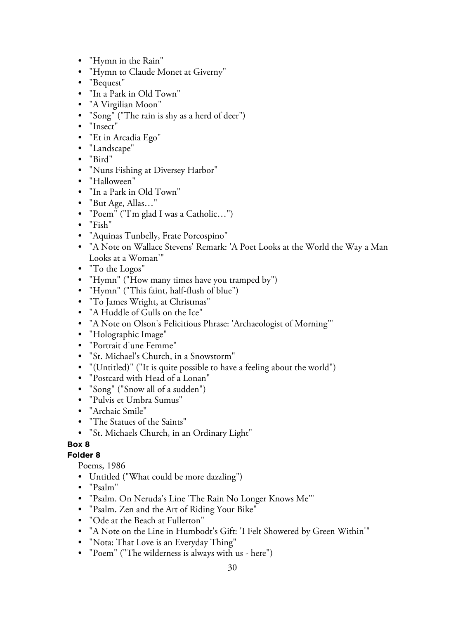- "Hymn in the Rain"
- "Hymn to Claude Monet at Giverny"
- "Bequest"
- "In a Park in Old Town"
- "A Virgilian Moon"
- "Song" ("The rain is shy as a herd of deer")
- "Insect"
- "Et in Arcadia Ego"
- "Landscape"
- "Bird"
- "Nuns Fishing at Diversey Harbor"
- "Halloween"
- "In a Park in Old Town"
- "But Age, Allas…"
- "Poem" ("I'm glad I was a Catholic…")
- "Fish"
- "Aquinas Tunbelly, Frate Porcospino"
- "A Note on Wallace Stevens' Remark: 'A Poet Looks at the World the Way a Man Looks at a Woman'"
- "To the Logos"
- "Hymn" ("How many times have you tramped by")
- "Hymn" ("This faint, half-flush of blue")
- "To James Wright, at Christmas"
- "A Huddle of Gulls on the Ice"
- "A Note on Olson's Felicitious Phrase: 'Archaeologist of Morning'"
- "Holographic Image"
- "Portrait d'une Femme"
- "St. Michael's Church, in a Snowstorm"
- "(Untitled)" ("It is quite possible to have a feeling about the world")
- "Postcard with Head of a Lonan"
- "Song" ("Snow all of a sudden")
- "Pulvis et Umbra Sumus"
- "Archaic Smile"
- "The Statues of the Saints"
- "St. Michaels Church, in an Ordinary Light"

#### **Folder 8**

Poems, 1986

- Untitled ("What could be more dazzling")
- "Psalm"
- "Psalm. On Neruda's Line 'The Rain No Longer Knows Me'"
- "Psalm. Zen and the Art of Riding Your Bike"
- "Ode at the Beach at Fullerton"
- "A Note on the Line in Humbodt's Gift: 'I Felt Showered by Green Within'"
- "Nota: That Love is an Everyday Thing"
- "Poem" ("The wilderness is always with us here")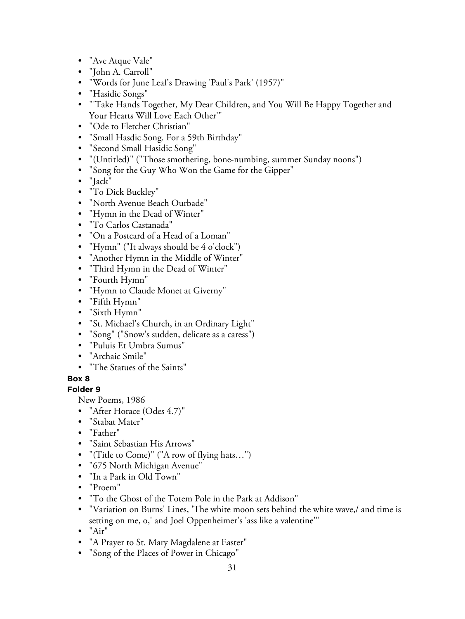- "Ave Atque Vale"
- "John A. Carroll"
- "Words for June Leaf's Drawing 'Paul's Park' (1957)"
- "Hasidic Songs"
- "'Take Hands Together, My Dear Children, and You Will Be Happy Together and Your Hearts Will Love Each Other'"
- "Ode to Fletcher Christian"
- "Small Hasdic Song. For a 59th Birthday"
- "Second Small Hasidic Song"
- "(Untitled)" ("Those smothering, bone-numbing, summer Sunday noons")
- "Song for the Guy Who Won the Game for the Gipper"
- "Jack"
- "To Dick Buckley"
- "North Avenue Beach Ourbade"
- "Hymn in the Dead of Winter"
- "To Carlos Castanada"
- "On a Postcard of a Head of a Loman"
- "Hymn" ("It always should be 4 o'clock")
- "Another Hymn in the Middle of Winter"
- "Third Hymn in the Dead of Winter"
- "Fourth Hymn"
- "Hymn to Claude Monet at Giverny"
- "Fifth Hymn"
- "Sixth Hymn"
- "St. Michael's Church, in an Ordinary Light"
- "Song" ("Snow's sudden, delicate as a caress")
- "Puluis Et Umbra Sumus"
- "Archaic Smile"
- "The Statues of the Saints"

# **Folder 9**

New Poems, 1986

- "After Horace (Odes 4.7)"
- "Stabat Mater"
- "Father"
- "Saint Sebastian His Arrows"
- "(Title to Come)" ("A row of flying hats…")
- "675 North Michigan Avenue"
- "In a Park in Old Town"
- "Proem"
- "To the Ghost of the Totem Pole in the Park at Addison"
- "Variation on Burns' Lines, 'The white moon sets behind the white wave,/ and time is setting on me, o,' and Joel Oppenheimer's 'ass like a valentine'"
- "Air"
- "A Prayer to St. Mary Magdalene at Easter"
- "Song of the Places of Power in Chicago"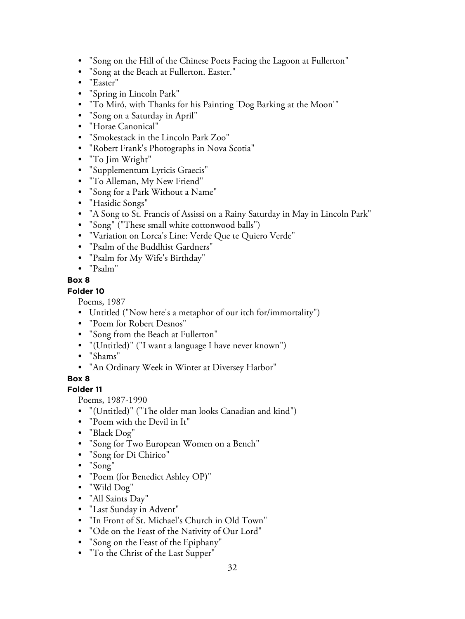- "Song on the Hill of the Chinese Poets Facing the Lagoon at Fullerton"
- "Song at the Beach at Fullerton. Easter."
- "Easter"
- "Spring in Lincoln Park"
- "To Miró, with Thanks for his Painting 'Dog Barking at the Moon'"
- "Song on a Saturday in April"
- "Horae Canonical"
- "Smokestack in the Lincoln Park Zoo"
- "Robert Frank's Photographs in Nova Scotia"
- "To Jim Wright"
- "Supplementum Lyricis Graecis"
- "To Alleman, My New Friend"
- "Song for a Park Without a Name"
- "Hasidic Songs"
- "A Song to St. Francis of Assissi on a Rainy Saturday in May in Lincoln Park"
- "Song" ("These small white cottonwood balls")
- "Variation on Lorca's Line: Verde Que te Quiero Verde"
- "Psalm of the Buddhist Gardners"
- "Psalm for My Wife's Birthday"
- "Psalm"

#### **Folder 10**

Poems, 1987

- Untitled ("Now here's a metaphor of our itch for/immortality")
- "Poem for Robert Desnos"
- "Song from the Beach at Fullerton"
- "(Untitled)" ("I want a language I have never known")
- "Shams"
- "An Ordinary Week in Winter at Diversey Harbor"

#### **Box 8**

#### **Folder 11**

Poems, 1987-1990

- "(Untitled)" ("The older man looks Canadian and kind")
- "Poem with the Devil in It"
- "Black Dog"
- "Song for Two European Women on a Bench"
- "Song for Di Chirico"
- "Song"
- "Poem (for Benedict Ashley OP)"
- "Wild Dog"
- "All Saints Day"
- "Last Sunday in Advent"
- "In Front of St. Michael's Church in Old Town"
- "Ode on the Feast of the Nativity of Our Lord"
- "Song on the Feast of the Epiphany"
- "To the Christ of the Last Supper"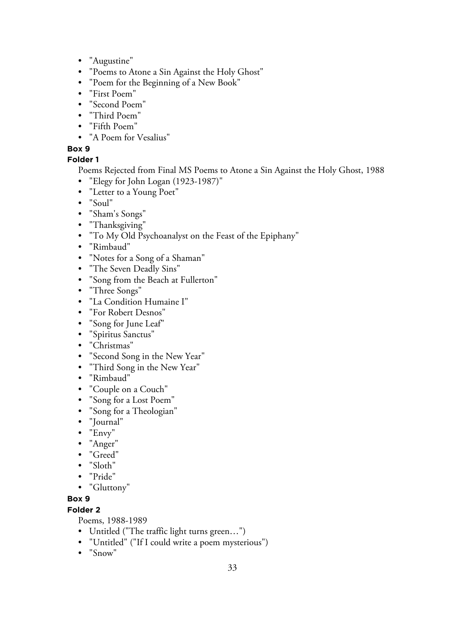- "Augustine"
- "Poems to Atone a Sin Against the Holy Ghost"
- "Poem for the Beginning of a New Book"
- "First Poem"
- "Second Poem"
- "Third Poem"
- "Fifth Poem"
- "A Poem for Vesalius"

## **Folder 1**

Poems Rejected from Final MS Poems to Atone a Sin Against the Holy Ghost, 1988

- "Elegy for John Logan (1923-1987)"
- "Letter to a Young Poet"
- "Soul"
- "Sham's Songs"
- "Thanksgiving"
- "To My Old Psychoanalyst on the Feast of the Epiphany"
- "Rimbaud"
- "Notes for a Song of a Shaman"
- "The Seven Deadly Sins"
- "Song from the Beach at Fullerton"
- "Three Songs"
- "La Condition Humaine I"
- "For Robert Desnos"
- "Song for June Leaf"
- "Spiritus Sanctus"
- "Christmas"
- "Second Song in the New Year"
- "Third Song in the New Year"
- "Rimbaud"
- "Couple on a Couch"
- "Song for a Lost Poem"
- "Song for a Theologian"
- "Journal"
- "Envy"
- "Anger"
- "Greed"
- "Sloth"
- "Pride"
- "Gluttony"

#### **Box 9**

#### **Folder 2**

Poems, 1988-1989

- Untitled ("The traffic light turns green…")
- "Untitled" ("If I could write a poem mysterious")
- "Snow"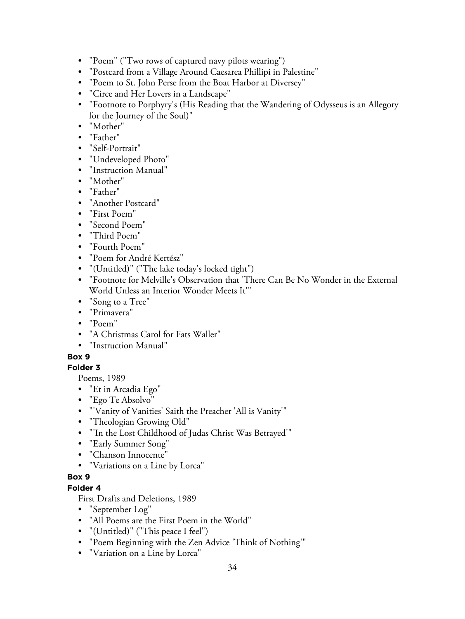- "Poem" ("Two rows of captured navy pilots wearing")
- "Postcard from a Village Around Caesarea Phillipi in Palestine"
- "Poem to St. John Perse from the Boat Harbor at Diversey"
- "Circe and Her Lovers in a Landscape"
- "Footnote to Porphyry's (His Reading that the Wandering of Odysseus is an Allegory for the Journey of the Soul)"
- "Mother"
- "Father"
- "Self-Portrait"
- "Undeveloped Photo"
- "Instruction Manual"
- "Mother"
- "Father"
- "Another Postcard"
- "First Poem"
- "Second Poem"
- "Third Poem"
- "Fourth Poem"
- "Poem for André Kertész"
- "(Untitled)" ("The lake today's locked tight")
- "Footnote for Melville's Observation that 'There Can Be No Wonder in the External World Unless an Interior Wonder Meets It'"
- "Song to a Tree"
- "Primavera"
- "Poem"
- "A Christmas Carol for Fats Waller"
- "Instruction Manual"

#### **Folder 3**

Poems, 1989

- "Et in Arcadia Ego"
- "Ego Te Absolvo"
- "'Vanity of Vanities' Saith the Preacher 'All is Vanity'"
- "Theologian Growing Old"
- "'In the Lost Childhood of Judas Christ Was Betrayed'"
- "Early Summer Song"
- "Chanson Innocente"
- "Variations on a Line by Lorca"

# **Box 9**

## **Folder 4**

First Drafts and Deletions, 1989

- "September Log"
- "All Poems are the First Poem in the World"
- "(Untitled)" ("This peace I feel")
- "Poem Beginning with the Zen Advice 'Think of Nothing'"
- "Variation on a Line by Lorca"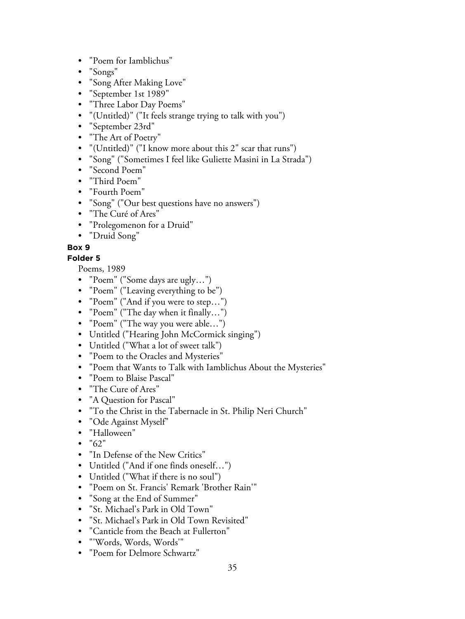- "Poem for Iamblichus"
- "Songs"
- "Song After Making Love"
- "September 1st 1989"
- "Three Labor Day Poems"
- "(Untitled)" ("It feels strange trying to talk with you")
- "September 23rd"
- "The Art of Poetry"
- "(Untitled)" ("I know more about this 2" scar that runs")
- "Song" ("Sometimes I feel like Guliette Masini in La Strada")
- "Second Poem"
- "Third Poem"
- "Fourth Poem"
- "Song" ("Our best questions have no answers")
- "The Curé of Ares"
- "Prolegomenon for a Druid"
- "Druid Song"

#### **Folder 5**

Poems, 1989

- "Poem" ("Some days are ugly…")
- "Poem" ("Leaving everything to be")
- "Poem" ("And if you were to step…")
- "Poem" ("The day when it finally…")
- "Poem" ("The way you were able…")
- Untitled ("Hearing John McCormick singing")
- Untitled ("What a lot of sweet talk")
- "Poem to the Oracles and Mysteries"
- "Poem that Wants to Talk with Iamblichus About the Mysteries"
- "Poem to Blaise Pascal"
- "The Cure of Ares"
- "A Question for Pascal"
- "To the Christ in the Tabernacle in St. Philip Neri Church"
- "Ode Against Myself"
- "Halloween"
- $"62"$
- "In Defense of the New Critics"
- Untitled ("And if one finds oneself…")
- Untitled ("What if there is no soul")
- "Poem on St. Francis' Remark 'Brother Rain'"
- "Song at the End of Summer"
- "St. Michael's Park in Old Town"
- "St. Michael's Park in Old Town Revisited"
- "Canticle from the Beach at Fullerton"
- "'Words, Words, Words'"
- "Poem for Delmore Schwartz"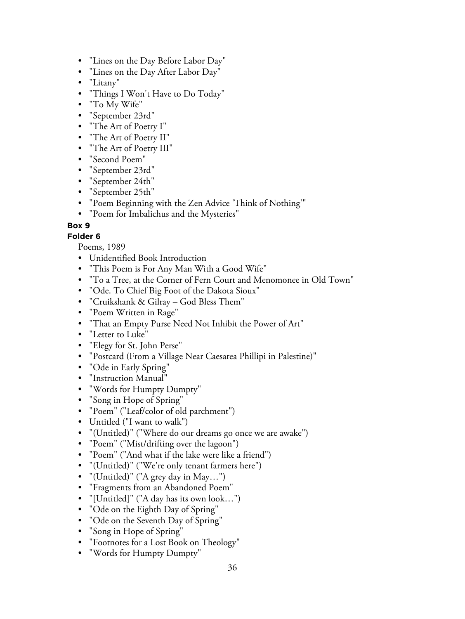- "Lines on the Day Before Labor Day"
- "Lines on the Day After Labor Day"
- "Litany"
- "Things I Won't Have to Do Today"
- "To My Wife"
- "September 23rd"
- "The Art of Poetry I"
- "The Art of Poetry II"
- "The Art of Poetry III"
- "Second Poem"
- "September 23rd"
- "September 24th"
- "September 25th"
- "Poem Beginning with the Zen Advice 'Think of Nothing'"
- "Poem for Imbalichus and the Mysteries"

#### **Folder 6**

Poems, 1989

- Unidentified Book Introduction
- "This Poem is For Any Man With a Good Wife"
- "To a Tree, at the Corner of Fern Court and Menomonee in Old Town"
- "Ode. To Chief Big Foot of the Dakota Sioux"
- "Cruikshank & Gilray God Bless Them"
- "Poem Written in Rage"
- "That an Empty Purse Need Not Inhibit the Power of Art"
- "Letter to Luke"
- "Elegy for St. John Perse"
- "Postcard (From a Village Near Caesarea Phillipi in Palestine)"
- "Ode in Early Spring"
- "Instruction Manual"
- "Words for Humpty Dumpty"
- "Song in Hope of Spring"
- "Poem" ("Leaf/color of old parchment")
- Untitled ("I want to walk")
- "(Untitled)" ("Where do our dreams go once we are awake")
- "Poem" ("Mist/drifting over the lagoon")
- "Poem" ("And what if the lake were like a friend")
- "(Untitled)" ("We're only tenant farmers here")
- "(Untitled)" ("A grey day in May…")
- "Fragments from an Abandoned Poem"
- "[Untitled]" ("A day has its own look…")
- "Ode on the Eighth Day of Spring"
- "Ode on the Seventh Day of Spring"
- "Song in Hope of Spring"
- "Footnotes for a Lost Book on Theology"
- "Words for Humpty Dumpty"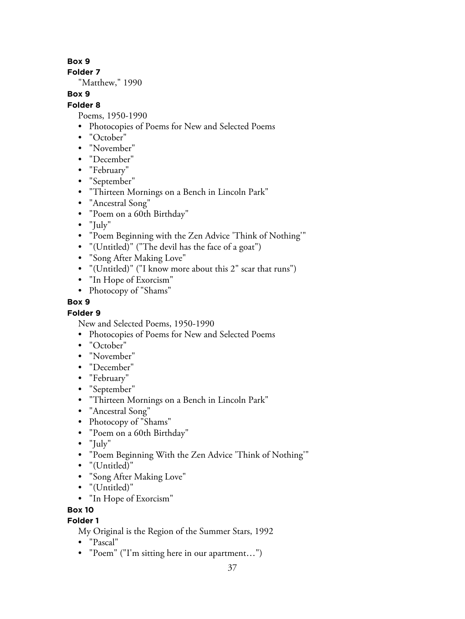**Folder 7**

"Matthew," 1990

# **Box 9**

# **Folder 8**

Poems, 1950-1990

- Photocopies of Poems for New and Selected Poems
- "October"
- "November"
- "December"
- "February"
- "September"
- "Thirteen Mornings on a Bench in Lincoln Park"
- "Ancestral Song"
- "Poem on a 60th Birthday"
- "July"
- "Poem Beginning with the Zen Advice 'Think of Nothing'"
- "(Untitled)" ("The devil has the face of a goat")
- "Song After Making Love"
- "(Untitled)" ("I know more about this 2" scar that runs")
- "In Hope of Exorcism"
- Photocopy of "Shams"

## **Box 9**

# **Folder 9**

New and Selected Poems, 1950-1990

- Photocopies of Poems for New and Selected Poems
- "October"
- "November"
- "December"
- "February"
- "September"
- "Thirteen Mornings on a Bench in Lincoln Park"
- "Ancestral Song"
- Photocopy of "Shams"
- "Poem on a 60th Birthday"
- "July"
- "Poem Beginning With the Zen Advice 'Think of Nothing'"
- "(Untitled)"
- "Song After Making Love"
- "(Untitled)"
- "In Hope of Exorcism"

# **Box 10**

# **Folder 1**

My Original is the Region of the Summer Stars, 1992

- "Pascal"
- "Poem" ("I'm sitting here in our apartment…")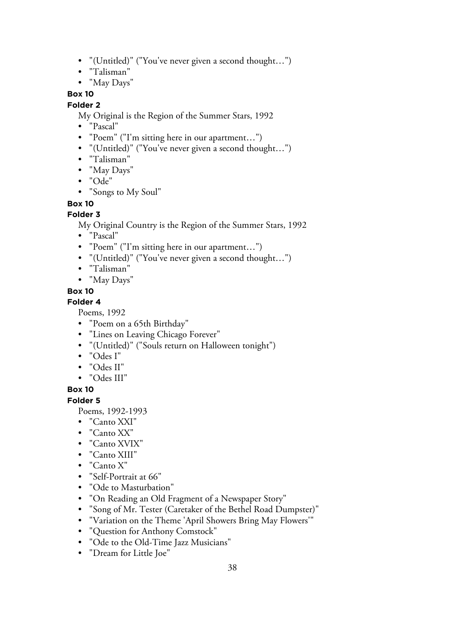- "(Untitled)" ("You've never given a second thought…")
- "Talisman"
- "May Days"

#### **Folder 2**

My Original is the Region of the Summer Stars, 1992

- "Pascal"
- "Poem" ("I'm sitting here in our apartment...")
- "(Untitled)" ("You've never given a second thought…")
- "Talisman"
- "May Days"
- "Ode"
- "Songs to My Soul"

#### **Box 10**

#### **Folder 3**

My Original Country is the Region of the Summer Stars, 1992

- "Pascal"
- "Poem" ("I'm sitting here in our apartment...")
- "(Untitled)" ("You've never given a second thought…")
- "Talisman"
- "May Days"

## **Box 10**

#### **Folder 4**

Poems, 1992

- "Poem on a 65th Birthday"
- "Lines on Leaving Chicago Forever"
- "(Untitled)" ("Souls return on Halloween tonight")
- "Odes I"
- "Odes II"
- "Odes III"

#### **Box 10**

#### **Folder 5**

Poems, 1992-1993

- "Canto XXI"
- "Canto XX"
- "Canto XVIX"
- "Canto XIII"
- "Canto X"
- "Self-Portrait at 66"
- "Ode to Masturbation"
- "On Reading an Old Fragment of a Newspaper Story"
- "Song of Mr. Tester (Caretaker of the Bethel Road Dumpster)"
- "Variation on the Theme 'April Showers Bring May Flowers'"
- "Question for Anthony Comstock"
- "Ode to the Old-Time Jazz Musicians"
- "Dream for Little Joe"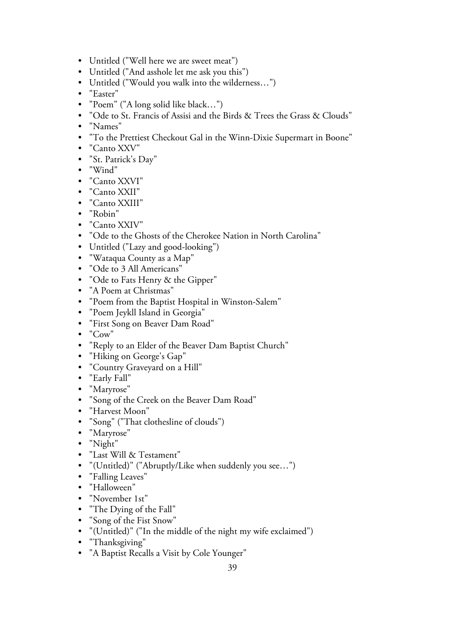- Untitled ("Well here we are sweet meat")
- Untitled ("And asshole let me ask you this")
- Untitled ("Would you walk into the wilderness…")
- "Easter"
- "Poem" ("A long solid like black…")
- "Ode to St. Francis of Assisi and the Birds & Trees the Grass & Clouds"
- "Names"
- "To the Prettiest Checkout Gal in the Winn-Dixie Supermart in Boone"
- "Canto XXV"
- "St. Patrick's Day"
- "Wind"
- "Canto XXVI"
- "Canto XXII"
- "Canto XXIII"
- "Robin"
- "Canto XXIV"
- "Ode to the Ghosts of the Cherokee Nation in North Carolina"
- Untitled ("Lazy and good-looking")
- "Wataqua County as a Map"
- "Ode to 3 All Americans"
- "Ode to Fats Henry & the Gipper"
- "A Poem at Christmas"
- "Poem from the Baptist Hospital in Winston-Salem"
- "Poem Jeykll Island in Georgia"
- "First Song on Beaver Dam Road"
- "Cow"
- "Reply to an Elder of the Beaver Dam Baptist Church"
- "Hiking on George's Gap"
- "Country Graveyard on a Hill"
- "Early Fall"
- "Maryrose"
- "Song of the Creek on the Beaver Dam Road"
- "Harvest Moon"
- "Song" ("That clothesline of clouds")
- "Maryrose"
- "Night"
- "Last Will & Testament"
- "(Untitled)" ("Abruptly/Like when suddenly you see…")
- "Falling Leaves"
- "Halloween"
- "November 1st"
- "The Dying of the Fall"
- "Song of the Fist Snow"
- "(Untitled)" ("In the middle of the night my wife exclaimed")
- "Thanksgiving"
- "A Baptist Recalls a Visit by Cole Younger"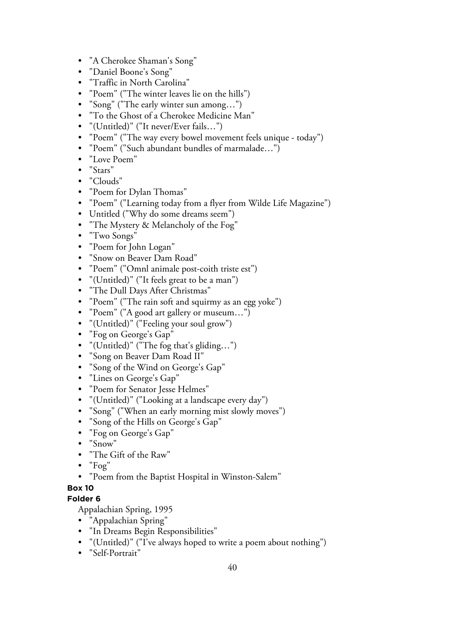- "A Cherokee Shaman's Song"
- "Daniel Boone's Song"
- "Traffic in North Carolina"
- "Poem" ("The winter leaves lie on the hills")
- "Song" ("The early winter sun among…")
- "To the Ghost of a Cherokee Medicine Man"
- "(Untitled)" ("It never/Ever fails…")
- "Poem" ("The way every bowel movement feels unique today")
- "Poem" ("Such abundant bundles of marmalade…")
- "Love Poem"
- "Stars"
- "Clouds"
- "Poem for Dylan Thomas"
- "Poem" ("Learning today from a flyer from Wilde Life Magazine")
- Untitled ("Why do some dreams seem")
- "The Mystery & Melancholy of the Fog"
- "Two Songs"
- "Poem for John Logan"
- "Snow on Beaver Dam Road"
- "Poem" ("Omnl animale post-coith triste est")
- "(Untitled)" ("It feels great to be a man")
- "The Dull Days After Christmas"
- "Poem" ("The rain soft and squirmy as an egg yoke")
- "Poem" ("A good art gallery or museum…")
- "(Untitled)" ("Feeling your soul grow")
- "Fog on George's Gap"
- "(Untitled)" ("The fog that's gliding…")
- "Song on Beaver Dam Road II"
- "Song of the Wind on George's Gap"
- "Lines on George's Gap"
- "Poem for Senator Jesse Helmes"
- "(Untitled)" ("Looking at a landscape every day")
- "Song" ("When an early morning mist slowly moves")
- "Song of the Hills on George's Gap"
- "Fog on George's Gap"
- "Snow"
- "The Gift of the Raw"
- "Fog"
- "Poem from the Baptist Hospital in Winston-Salem"
- **Box 10**

#### **Folder 6**

Appalachian Spring, 1995

- "Appalachian Spring"
- "In Dreams Begin Responsibilities"
- "(Untitled)" ("I've always hoped to write a poem about nothing")
- "Self-Portrait"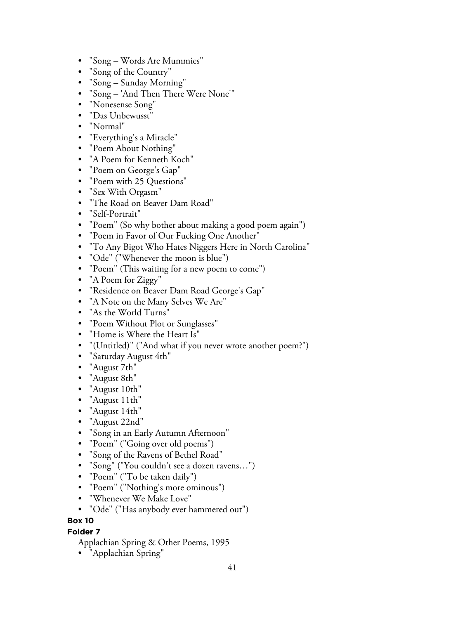- "Song Words Are Mummies"
- "Song of the Country"
- "Song Sunday Morning"
- "Song 'And Then There Were None'"
- "Nonesense Song"
- "Das Unbewusst"
- "Normal"
- "Everything's a Miracle"
- "Poem About Nothing"
- "A Poem for Kenneth Koch"
- "Poem on George's Gap"
- "Poem with 25 Questions"
- "Sex With Orgasm"
- "The Road on Beaver Dam Road"
- "Self-Portrait"
- "Poem" (So why bother about making a good poem again")
- "Poem in Favor of Our Fucking One Another"
- "To Any Bigot Who Hates Niggers Here in North Carolina"
- "Ode" ("Whenever the moon is blue")
- "Poem" (This waiting for a new poem to come")
- "A Poem for Ziggy"
- "Residence on Beaver Dam Road George's Gap"
- "A Note on the Many Selves We Are"
- "As the World Turns"
- "Poem Without Plot or Sunglasses"
- "Home is Where the Heart Is"
- "(Untitled)" ("And what if you never wrote another poem?")
- "Saturday August 4th"
- "August 7th"
- "August 8th"
- "August 10th"
- "August 11th"
- "August 14th"
- "August 22nd"
- "Song in an Early Autumn Afternoon"
- "Poem" ("Going over old poems")
- "Song of the Ravens of Bethel Road"
- "Song" ("You couldn't see a dozen ravens…")
- "Poem" ("To be taken daily")
- "Poem" ("Nothing's more ominous")
- "Whenever We Make Love"
- "Ode" ("Has anybody ever hammered out")

#### **Folder 7**

- Applachian Spring & Other Poems, 1995
- "Applachian Spring"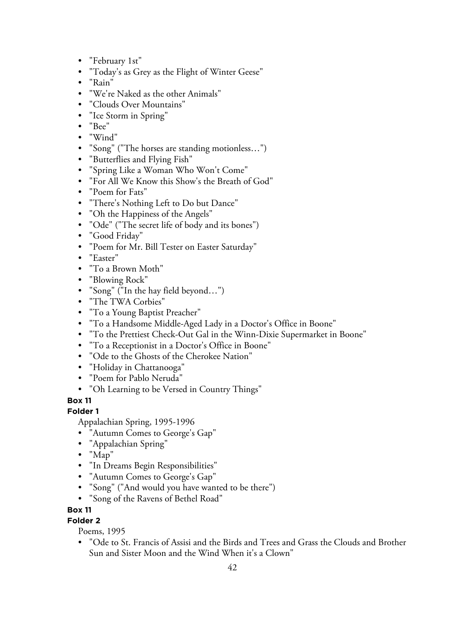- "February 1st"
- "Today's as Grey as the Flight of Winter Geese"
- "Rain"
- "We're Naked as the other Animals"
- "Clouds Over Mountains"
- "Ice Storm in Spring"
- "Bee"
- "Wind"
- "Song" ("The horses are standing motionless…")
- "Butterflies and Flying Fish"
- "Spring Like a Woman Who Won't Come"
- "For All We Know this Show's the Breath of God"
- "Poem for Fats"
- "There's Nothing Left to Do but Dance"
- "Oh the Happiness of the Angels"
- "Ode" ("The secret life of body and its bones")
- "Good Friday"
- "Poem for Mr. Bill Tester on Easter Saturday"
- "Easter"
- "To a Brown Moth"
- "Blowing Rock"
- "Song" ("In the hay field beyond…")
- "The TWA Corbies"
- "To a Young Baptist Preacher"
- "To a Handsome Middle-Aged Lady in a Doctor's Office in Boone"
- "To the Prettiest Check-Out Gal in the Winn-Dixie Supermarket in Boone"
- "To a Receptionist in a Doctor's Office in Boone"
- "Ode to the Ghosts of the Cherokee Nation"
- "Holiday in Chattanooga"
- "Poem for Pablo Neruda"
- "Oh Learning to be Versed in Country Things"

# **Folder 1**

Appalachian Spring, 1995-1996

- "Autumn Comes to George's Gap"
- "Appalachian Spring"
- "Map"
- "In Dreams Begin Responsibilities"
- "Autumn Comes to George's Gap"
- "Song" ("And would you have wanted to be there")
- "Song of the Ravens of Bethel Road"

# **Box 11**

# **Folder 2**

Poems, 1995

• "Ode to St. Francis of Assisi and the Birds and Trees and Grass the Clouds and Brother Sun and Sister Moon and the Wind When it's a Clown"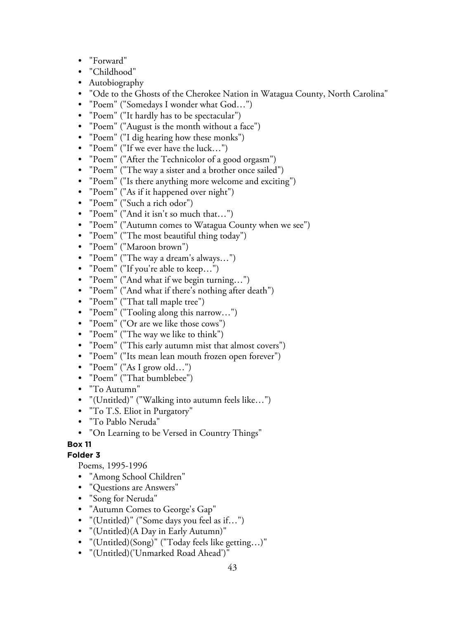- "Forward"
- "Childhood"
- Autobiography
- "Ode to the Ghosts of the Cherokee Nation in Watagua County, North Carolina"
- "Poem" ("Somedays I wonder what God…")
- "Poem" ("It hardly has to be spectacular")
- "Poem" ("August is the month without a face")
- "Poem" ("I dig hearing how these monks")
- "Poem" ("If we ever have the luck…")
- "Poem" ("After the Technicolor of a good orgasm")
- "Poem" ("The way a sister and a brother once sailed")
- "Poem" ("Is there anything more welcome and exciting")
- "Poem" ("As if it happened over night")
- "Poem" ("Such a rich odor")
- "Poem" ("And it isn't so much that…")
- "Poem" ("Autumn comes to Watagua County when we see")
- "Poem" ("The most beautiful thing today")
- "Poem" ("Maroon brown")
- "Poem" ("The way a dream's always…")
- "Poem" ("If you're able to keep…")
- "Poem" ("And what if we begin turning…")
- "Poem" ("And what if there's nothing after death")
- "Poem" ("That tall maple tree")
- "Poem" ("Tooling along this narrow…")
- "Poem" ("Or are we like those cows")
- "Poem" ("The way we like to think")
- "Poem" ("This early autumn mist that almost covers")
- "Poem" ("Its mean lean mouth frozen open forever")
- "Poem" ("As I grow old…")
- "Poem" ("That bumblebee")
- "To Autumn"
- "(Untitled)" ("Walking into autumn feels like…")
- "To T.S. Eliot in Purgatory"
- "To Pablo Neruda"
- "On Learning to be Versed in Country Things"

#### **Folder 3**

Poems, 1995-1996

- "Among School Children"
- "Questions are Answers"
- "Song for Neruda"
- "Autumn Comes to George's Gap"
- "(Untitled)" ("Some days you feel as if…")
- "(Untitled)(A Day in Early Autumn)"
- "(Untitled)(Song)" ("Today feels like getting…)"
- "(Untitled)('Unmarked Road Ahead')"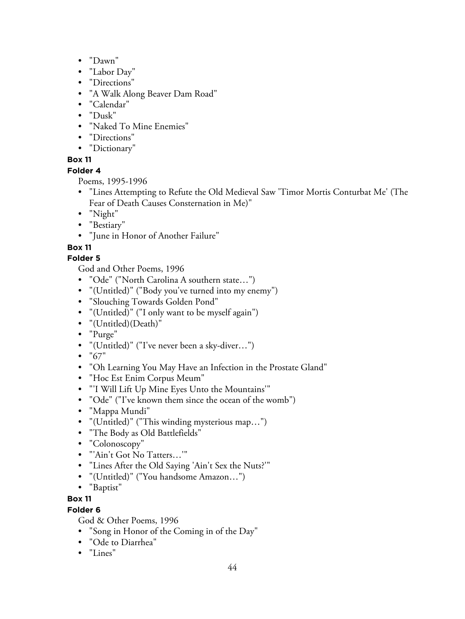- "Dawn"
- "Labor Day"
- "Directions"
- "A Walk Along Beaver Dam Road"
- "Calendar"
- "Dusk"
- "Naked To Mine Enemies"
- "Directions"
- "Dictionary"

# **Folder 4**

Poems, 1995-1996

- "Lines Attempting to Refute the Old Medieval Saw 'Timor Mortis Conturbat Me' (The Fear of Death Causes Consternation in Me)"
- "Night"
- "Bestiary"
- "June in Honor of Another Failure"

# **Box 11**

# **Folder 5**

God and Other Poems, 1996

- "Ode" ("North Carolina A southern state…")
- "(Untitled)" ("Body you've turned into my enemy")
- "Slouching Towards Golden Pond"
- "(Untitled)" ("I only want to be myself again")
- "(Untitled)(Death)"
- "Purge"
- "(Untitled)" ("I've never been a sky-diver…")
- $"67"$
- "Oh Learning You May Have an Infection in the Prostate Gland"
- "Hoc Est Enim Corpus Meum"
- "'I Will Lift Up Mine Eyes Unto the Mountains'"
- "Ode" ("I've known them since the ocean of the womb")
- "Mappa Mundi"
- "(Untitled)" ("This winding mysterious map…")
- "The Body as Old Battlefields"
- "Colonoscopy"
- "'Ain't Got No Tatters…'"
- "Lines After the Old Saying 'Ain't Sex the Nuts?'"
- "(Untitled)" ("You handsome Amazon…")
- "Baptist"

# **Box 11**

# **Folder 6**

God & Other Poems, 1996

- "Song in Honor of the Coming in of the Day"
- "Ode to Diarrhea"
- "Lines"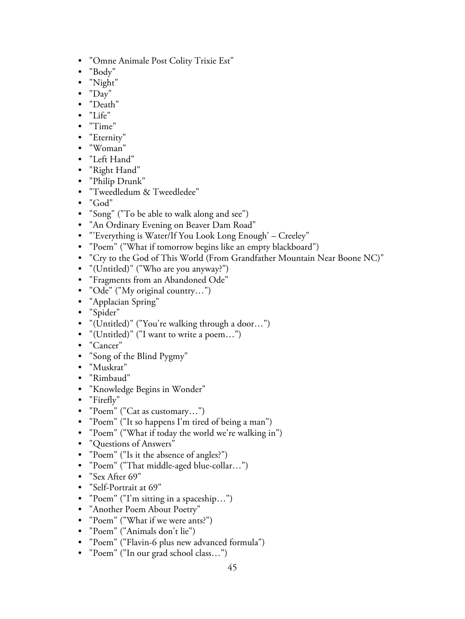- "Omne Animale Post Colity Trixie Est"
- "Body"
- "Night"
- "Day"
- "Death"
- "Life"
- "Time"
- "Eternity"
- "Woman"
- "Left Hand"
- "Right Hand"
- "Philip Drunk"
- "Tweedledum & Tweedledee"
- "God"
- "Song" ("To be able to walk along and see")
- "An Ordinary Evening on Beaver Dam Road"
- "'Everything is Water/If You Look Long Enough' Creeley"
- "Poem" ("What if tomorrow begins like an empty blackboard")
- "Cry to the God of This World (From Grandfather Mountain Near Boone NC)"
- "(Untitled)" ("Who are you anyway?")
- "Fragments from an Abandoned Ode"
- "Ode" ("My original country...")
- "Applacian Spring"
- "Spider"
- "(Untitled)" ("You're walking through a door…")
- "(Untitled)" ("I want to write a poem…")
- "Cancer"
- "Song of the Blind Pygmy"
- "Muskrat"
- "Rimbaud"
- "Knowledge Begins in Wonder"
- "Firefly"
- "Poem" ("Cat as customary…")
- "Poem" ("It so happens I'm tired of being a man")
- "Poem" ("What if today the world we're walking in")
- "Questions of Answers"
- "Poem" ("Is it the absence of angles?")
- "Poem" ("That middle-aged blue-collar…")
- "Sex After 69"
- "Self-Portrait at 69"
- "Poem" ("I'm sitting in a spaceship…")
- "Another Poem About Poetry"
- "Poem" ("What if we were ants?")
- "Poem" ("Animals don't lie")
- "Poem" ("Flavin-6 plus new advanced formula")
- "Poem" ("In our grad school class…")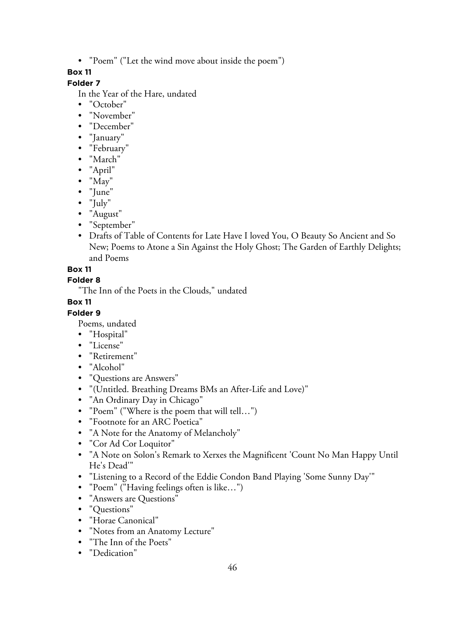• "Poem" ("Let the wind move about inside the poem")

# **Box 11**

# **Folder 7**

In the Year of the Hare, undated

- "October"
- "November"
- "December"
- "January"
- "February"
- "March"
- "April"
- "May"
- "June"
- "July"
- "August"
- "September"
- Drafts of Table of Contents for Late Have I loved You, O Beauty So Ancient and So New; Poems to Atone a Sin Against the Holy Ghost; The Garden of Earthly Delights; and Poems

# **Box 11**

## **Folder 8**

"The Inn of the Poets in the Clouds," undated

# **Box 11**

# **Folder 9**

Poems, undated

- "Hospital"
- "License"
- "Retirement"
- "Alcohol"
- "Questions are Answers"
- "(Untitled. Breathing Dreams BMs an After-Life and Love)"
- "An Ordinary Day in Chicago"
- "Poem" ("Where is the poem that will tell…")
- "Footnote for an ARC Poetica"
- "A Note for the Anatomy of Melancholy"
- "Cor Ad Cor Loquitor"
- "A Note on Solon's Remark to Xerxes the Magnificent 'Count No Man Happy Until He's Dead'"
- "Listening to a Record of the Eddie Condon Band Playing 'Some Sunny Day'"
- "Poem" ("Having feelings often is like…")
- "Answers are Questions"
- "Questions"
- "Horae Canonical"
- "Notes from an Anatomy Lecture"
- "The Inn of the Poets"
- "Dedication"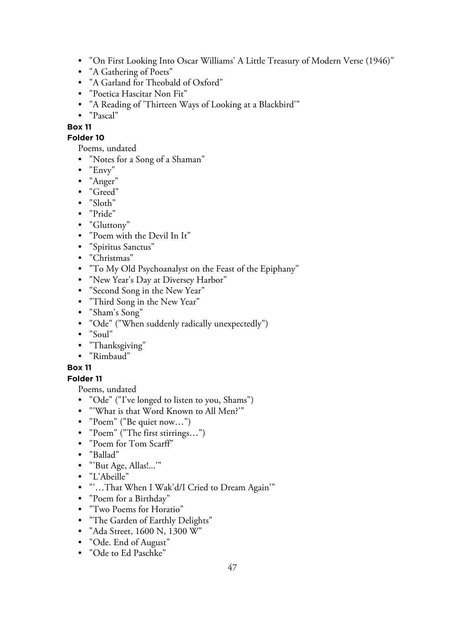- "On First Looking Into Oscar Williams' A Little Treasury of Modern Verse (1946)"
- "A Gathering of Poets"
- "A Garland for Theobald of Oxford"
- "Poetica Hascitar Non Fit"
- "A Reading of 'Thirteen Ways of Looking at a Blackbird'"
- "Pascal"
- **Box 11**

# **Folder 10**

Poems, undated

- "Notes for a Song of a Shaman"
- "Envy"
- "Anger"
- "Greed"
- "Sloth"
- "Pride"
- "Gluttony"
- "Poem with the Devil In It"
- "Spiritus Sanctus"
- "Christmas"
- "To My Old Psychoanalyst on the Feast of the Epiphany"
- "New Year's Day at Diversey Harbor"
- "Second Song in the New Year"
- "Third Song in the New Year"
- "Sham's Song"
- "Ode" ("When suddenly radically unexpectedly")
- "Soul"
- "Thanksgiving"
- "Rimbaud"

# **Box 11**

# **Folder 11**

Poems, undated

- "Ode" ("I've longed to listen to you, Shams")
- "'What is that Word Known to All Men?'"
- "Poem" ("Be quiet now…")
- "Poem" ("The first stirrings…")
- "Poem for Tom Scarff"
- "Ballad"
- "'But Age, Allas!...'"
- "L'Abeille"
- "'…That When I Wak'd/I Cried to Dream Again'"
- "Poem for a Birthday"
- "Two Poems for Horatio"
- "The Garden of Earthly Delights"
- "Ada Street, 1600 N, 1300 W"
- "Ode. End of August"
- "Ode to Ed Paschke"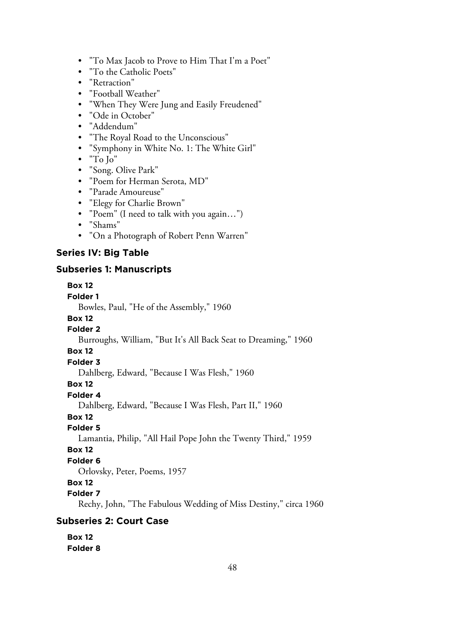- "To Max Jacob to Prove to Him That I'm a Poet"
- "To the Catholic Poets"
- "Retraction"
- "Football Weather"
- "When They Were Jung and Easily Freudened"
- "Ode in October"
- "Addendum"
- "The Royal Road to the Unconscious"
- "Symphony in White No. 1: The White Girl"
- "To Jo"
- "Song. Olive Park"
- "Poem for Herman Serota, MD"
- "Parade Amoureuse"
- "Elegy for Charlie Brown"
- "Poem" (I need to talk with you again…")
- "Shams"
- "On a Photograph of Robert Penn Warren"

## **Series IV: Big Table**

#### **Subseries 1: Manuscripts**

#### **Box 12**

#### **Folder 1**

Bowles, Paul, "He of the Assembly," 1960

# **Box 12**

# **Folder 2**

Burroughs, William, "But It's All Back Seat to Dreaming," 1960

#### **Box 12**

#### **Folder 3**

Dahlberg, Edward, "Because I Was Flesh," 1960

# **Box 12**

# **Folder 4**

Dahlberg, Edward, "Because I Was Flesh, Part II," 1960

# **Box 12**

## **Folder 5**

Lamantia, Philip, "All Hail Pope John the Twenty Third," 1959

#### **Box 12**

# **Folder 6**

Orlovsky, Peter, Poems, 1957

#### **Box 12**

#### **Folder 7**

Rechy, John, "The Fabulous Wedding of Miss Destiny," circa 1960

# **Subseries 2: Court Case**

#### **Box 12 Folder 8**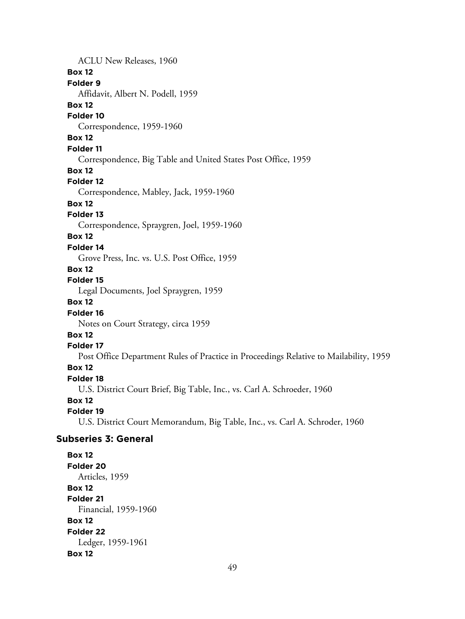ACLU New Releases, 1960 **Box 12 Folder 9** Affidavit, Albert N. Podell, 1959 **Box 12 Folder 10** Correspondence, 1959-1960 **Box 12 Folder 11** Correspondence, Big Table and United States Post Office, 1959 **Box 12 Folder 12** Correspondence, Mabley, Jack, 1959-1960 **Box 12 Folder 13** Correspondence, Spraygren, Joel, 1959-1960 **Box 12 Folder 14** Grove Press, Inc. vs. U.S. Post Office, 1959 **Box 12 Folder 15** Legal Documents, Joel Spraygren, 1959 **Box 12 Folder 16** Notes on Court Strategy, circa 1959 **Box 12 Folder 17** Post Office Department Rules of Practice in Proceedings Relative to Mailability, 1959 **Box 12 Folder 18** U.S. District Court Brief, Big Table, Inc., vs. Carl A. Schroeder, 1960 **Box 12 Folder 19** U.S. District Court Memorandum, Big Table, Inc., vs. Carl A. Schroder, 1960 **Subseries 3: General Box 12 Folder 20** Articles, 1959 **Box 12 Folder 21** Financial, 1959-1960 **Box 12 Folder 22** Ledger, 1959-1961

#### 49

**Box 12**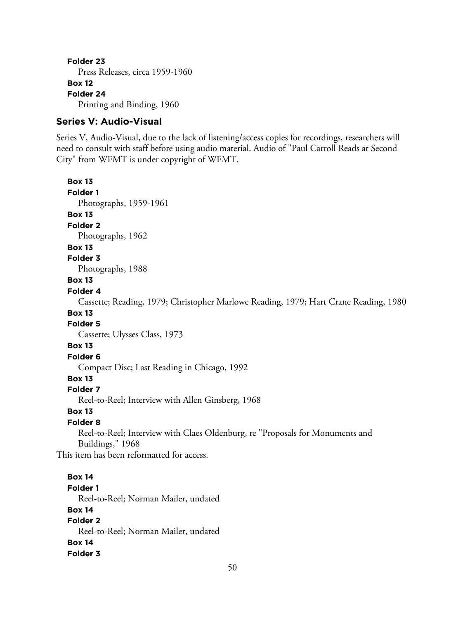**Folder 23** Press Releases, circa 1959-1960 **Box 12 Folder 24** Printing and Binding, 1960

#### **Series V: Audio-Visual**

Series V, Audio-Visual, due to the lack of listening/access copies for recordings, researchers will need to consult with staff before using audio material. Audio of "Paul Carroll Reads at Second City" from WFMT is under copyright of WFMT.

**Box 13**

**Folder 1** Photographs, 1959-1961

**Box 13**

**Folder 2**

Photographs, 1962

**Box 13**

#### **Folder 3**

Photographs, 1988

#### **Box 13**

#### **Folder 4**

Cassette; Reading, 1979; Christopher Marlowe Reading, 1979; Hart Crane Reading, 1980

# **Box 13**

**Folder 5**

Cassette; Ulysses Class, 1973

#### **Box 13**

# **Folder 6**

Compact Disc; Last Reading in Chicago, 1992

# **Box 13**

#### **Folder 7**

Reel-to-Reel; Interview with Allen Ginsberg, 1968

#### **Box 13**

#### **Folder 8**

Reel-to-Reel; Interview with Claes Oldenburg, re "Proposals for Monuments and Buildings," 1968

This item has been reformatted for access.

**Box 14 Folder 1** Reel-to-Reel; Norman Mailer, undated **Box 14 Folder 2** Reel-to-Reel; Norman Mailer, undated **Box 14 Folder 3**